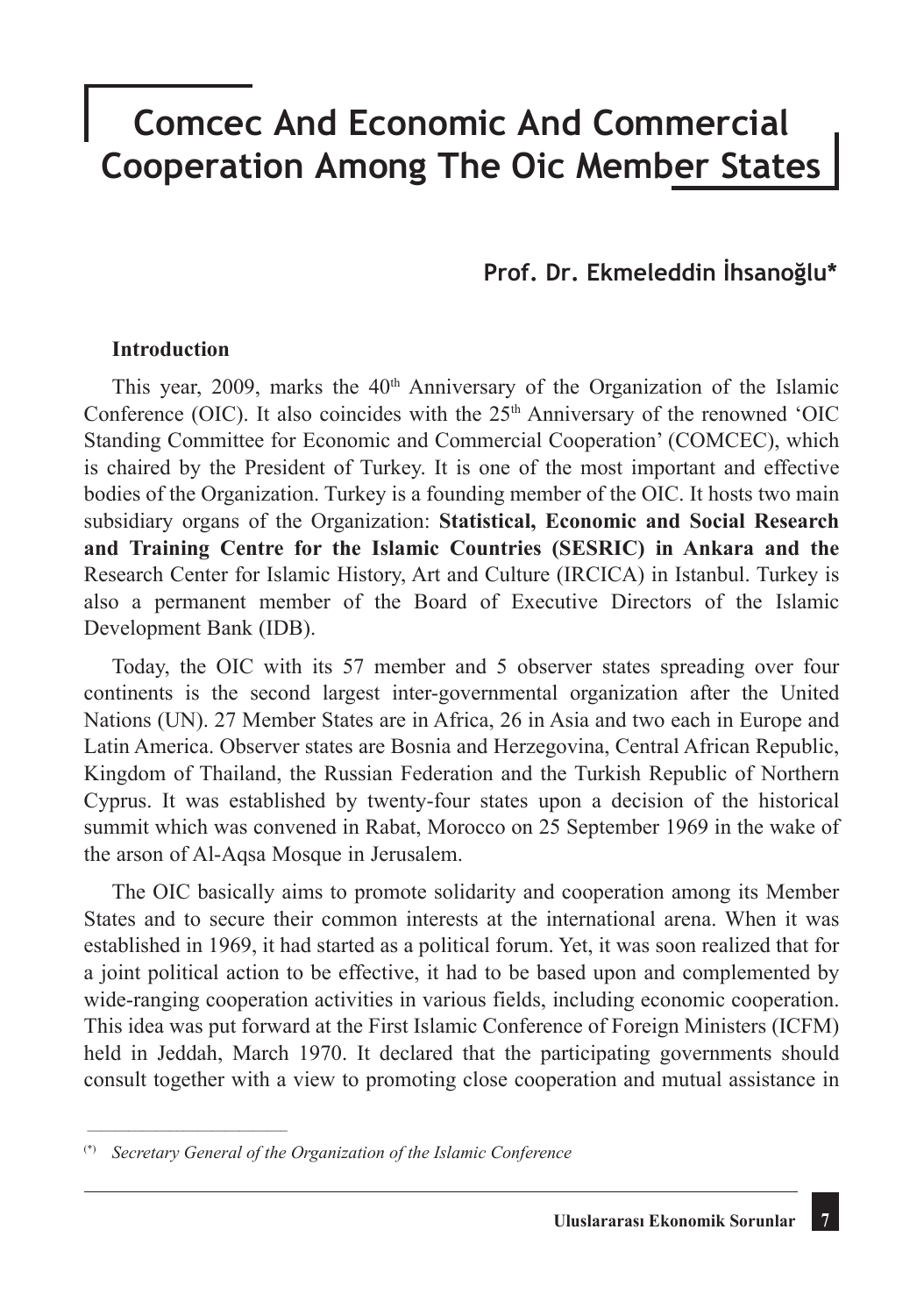# **Comcec And Economic And Commercial Cooperation Among The Oic Member States**

# **Prof. Dr. Ekmeleddin İhsanoğlu\***

#### **Introduction**

This year, 2009, marks the  $40<sup>th</sup>$  Anniversary of the Organization of the Islamic Conference (OIC). It also coincides with the  $25<sup>th</sup>$  Anniversary of the renowned 'OIC Standing Committee for Economic and Commercial Cooperation' (COMCEC), which is chaired by the President of Turkey. It is one of the most important and effective bodies of the Organization. Turkey is a founding member of the OIC. It hosts two main subsidiary organs of the Organization: **Statistical, Economic and Social Research and Training Centre for the Islamic Countries (SESRIC) in Ankara and the**  Research Center for Islamic History, Art and Culture (IRCICA) in Istanbul. Turkey is also a permanent member of the Board of Executive Directors of the Islamic Development Bank (IDB).

Today, the OIC with its 57 member and 5 observer states spreading over four continents is the second largest inter-governmental organization after the United Nations (UN). 27 Member States are in Africa, 26 in Asia and two each in Europe and Latin America. Observer states are Bosnia and Herzegovina, Central African Republic, Kingdom of Thailand, the Russian Federation and the Turkish Republic of Northern Cyprus. It was established by twenty-four states upon a decision of the historical summit which was convened in Rabat, Morocco on 25 September 1969 in the wake of the arson of Al-Aqsa Mosque in Jerusalem.

The OIC basically aims to promote solidarity and cooperation among its Member States and to secure their common interests at the international arena. When it was established in 1969, it had started as a political forum. Yet, it was soon realized that for a joint political action to be effective, it had to be based upon and complemented by wide-ranging cooperation activities in various fields, including economic cooperation. This idea was put forward at the First Islamic Conference of Foreign Ministers (ICFM) held in Jeddah, March 1970. It declared that the participating governments should consult together with a view to promoting close cooperation and mutual assistance in

\_\_\_\_\_\_\_\_\_\_\_\_\_\_\_\_\_\_\_\_\_\_\_\_\_\_\_\_\_

<sup>(\*)</sup> *Secretary General of the Organization of the Islamic Conference*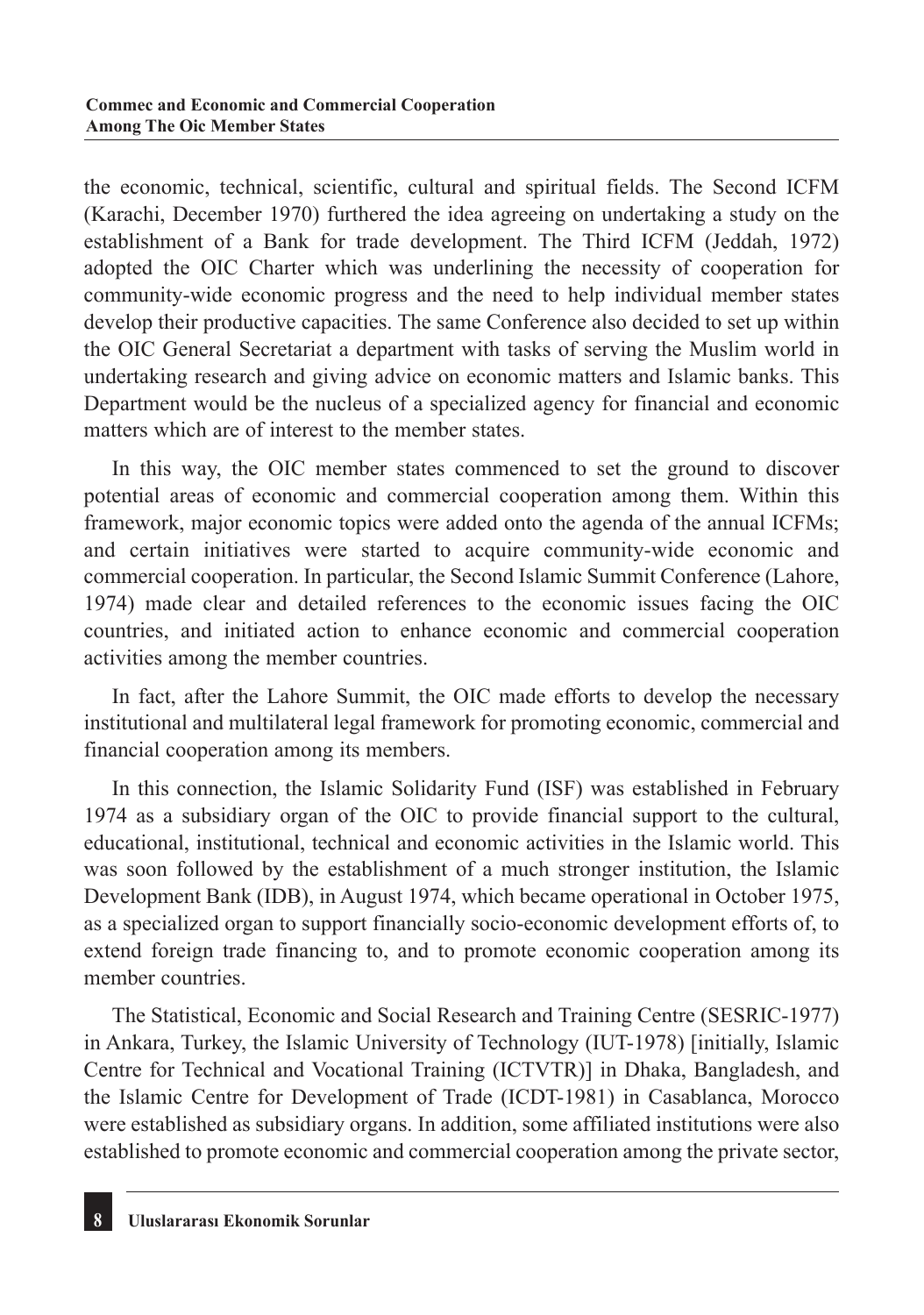the economic, technical, scientific, cultural and spiritual fields. The Second ICFM (Karachi, December 1970) furthered the idea agreeing on undertaking a study on the establishment of a Bank for trade development. The Third ICFM (Jeddah, 1972) adopted the OIC Charter which was underlining the necessity of cooperation for community-wide economic progress and the need to help individual member states develop their productive capacities. The same Conference also decided to set up within the OIC General Secretariat a department with tasks of serving the Muslim world in undertaking research and giving advice on economic matters and Islamic banks. This Department would be the nucleus of a specialized agency for financial and economic matters which are of interest to the member states.

In this way, the OIC member states commenced to set the ground to discover potential areas of economic and commercial cooperation among them. Within this framework, major economic topics were added onto the agenda of the annual ICFMs; and certain initiatives were started to acquire community-wide economic and commercial cooperation. In particular, the Second Islamic Summit Conference (Lahore, 1974) made clear and detailed references to the economic issues facing the OIC countries, and initiated action to enhance economic and commercial cooperation activities among the member countries.

In fact, after the Lahore Summit, the OIC made efforts to develop the necessary institutional and multilateral legal framework for promoting economic, commercial and financial cooperation among its members.

In this connection, the Islamic Solidarity Fund (ISF) was established in February 1974 as a subsidiary organ of the OIC to provide financial support to the cultural, educational, institutional, technical and economic activities in the Islamic world. This was soon followed by the establishment of a much stronger institution, the Islamic Development Bank (IDB), in August 1974, which became operational in October 1975, as a specialized organ to support financially socio-economic development efforts of, to extend foreign trade financing to, and to promote economic cooperation among its member countries.

The Statistical, Economic and Social Research and Training Centre (SESRIC-1977) in Ankara, Turkey, the Islamic University of Technology (IUT-1978) [initially, Islamic Centre for Technical and Vocational Training (ICTVTR)] in Dhaka, Bangladesh, and the Islamic Centre for Development of Trade (ICDT-1981) in Casablanca, Morocco were established as subsidiary organs. In addition, some affiliated institutions were also established to promote economic and commercial cooperation among the private sector,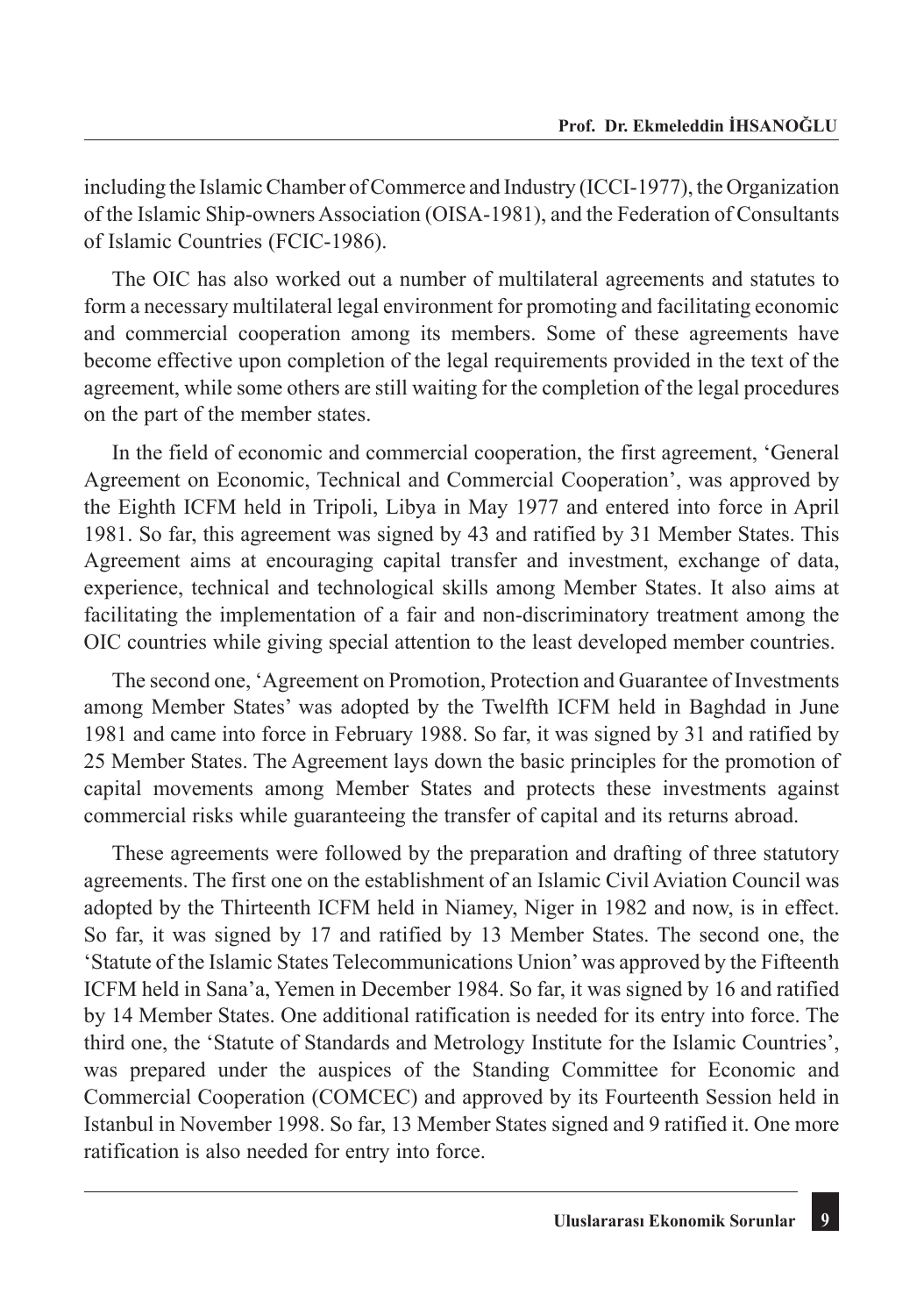including the Islamic Chamber of Commerce and Industry (ICCI-1977), the Organization of the Islamic Ship-owners Association (OISA-1981), and the Federation of Consultants of Islamic Countries (FCIC-1986).

The OIC has also worked out a number of multilateral agreements and statutes to form a necessary multilateral legal environment for promoting and facilitating economic and commercial cooperation among its members. Some of these agreements have become effective upon completion of the legal requirements provided in the text of the agreement, while some others are still waiting for the completion of the legal procedures on the part of the member states.

In the field of economic and commercial cooperation, the first agreement, 'General Agreement on Economic, Technical and Commercial Cooperation', was approved by the Eighth ICFM held in Tripoli, Libya in May 1977 and entered into force in April 1981. So far, this agreement was signed by 43 and ratified by 31 Member States. This Agreement aims at encouraging capital transfer and investment, exchange of data, experience, technical and technological skills among Member States. It also aims at facilitating the implementation of a fair and non-discriminatory treatment among the OIC countries while giving special attention to the least developed member countries.

The second one, 'Agreement on Promotion, Protection and Guarantee of Investments among Member States' was adopted by the Twelfth ICFM held in Baghdad in June 1981 and came into force in February 1988. So far, it was signed by 31 and ratified by 25 Member States. The Agreement lays down the basic principles for the promotion of capital movements among Member States and protects these investments against commercial risks while guaranteeing the transfer of capital and its returns abroad.

These agreements were followed by the preparation and drafting of three statutory agreements. The first one on the establishment of an Islamic Civil Aviation Council was adopted by the Thirteenth ICFM held in Niamey, Niger in 1982 and now, is in effect. So far, it was signed by 17 and ratified by 13 Member States. The second one, the 'Statute of the Islamic States Telecommunications Union' was approved by the Fifteenth ICFM held in Sana'a, Yemen in December 1984. So far, it was signed by 16 and ratified by 14 Member States. One additional ratification is needed for its entry into force. The third one, the 'Statute of Standards and Metrology Institute for the Islamic Countries', was prepared under the auspices of the Standing Committee for Economic and Commercial Cooperation (COMCEC) and approved by its Fourteenth Session held in Istanbul in November 1998. So far, 13 Member States signed and 9 ratified it. One more ratification is also needed for entry into force.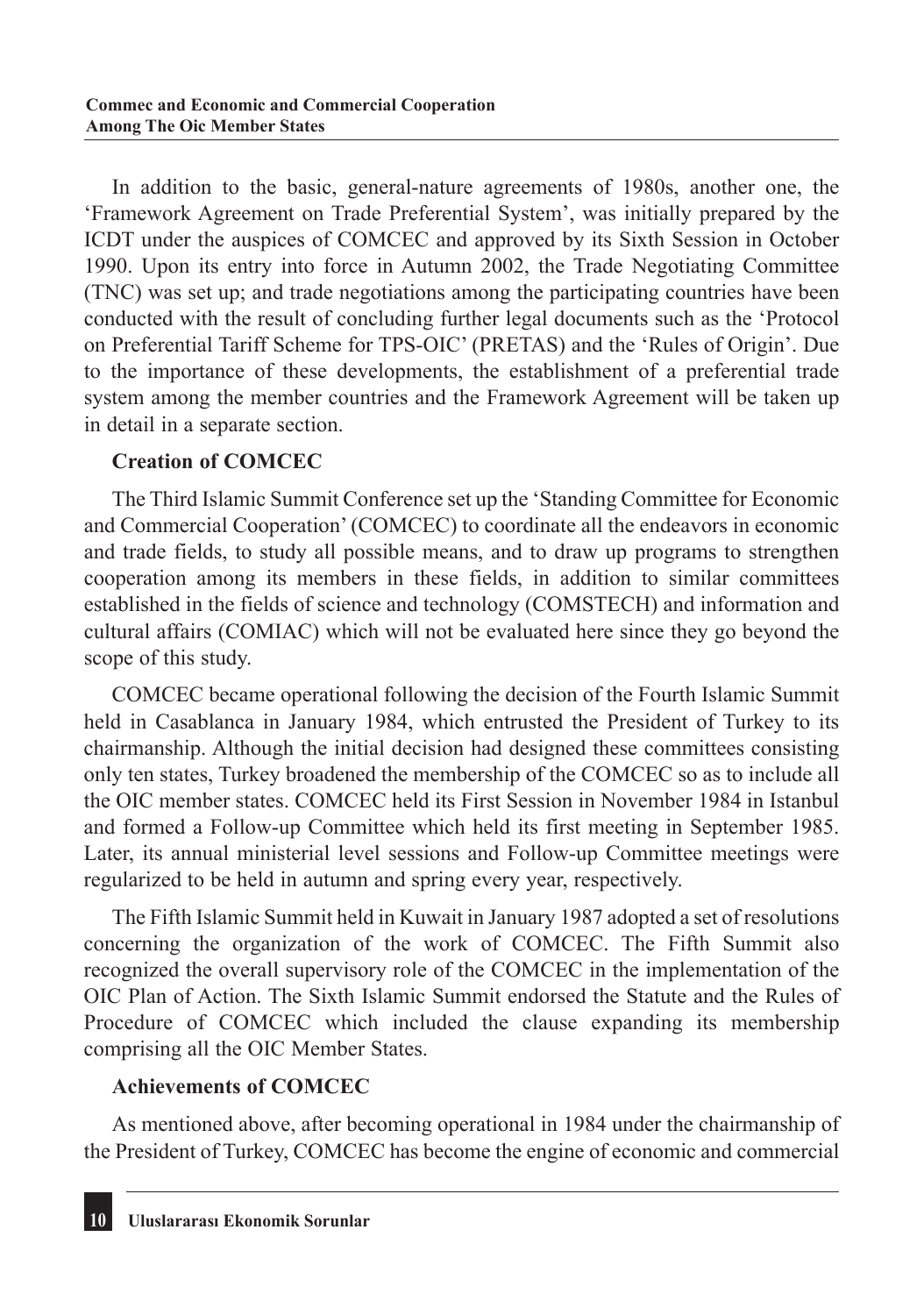In addition to the basic, general-nature agreements of 1980s, another one, the 'Framework Agreement on Trade Preferential System', was initially prepared by the ICDT under the auspices of COMCEC and approved by its Sixth Session in October 1990. Upon its entry into force in Autumn 2002, the Trade Negotiating Committee (TNC) was set up; and trade negotiations among the participating countries have been conducted with the result of concluding further legal documents such as the 'Protocol on Preferential Tariff Scheme for TPS-OIC' (PRETAS) and the 'Rules of Origin'. Due to the importance of these developments, the establishment of a preferential trade system among the member countries and the Framework Agreement will be taken up in detail in a separate section.

## **Creation of COMCEC**

The Third Islamic Summit Conference set up the 'Standing Committee for Economic and Commercial Cooperation' (COMCEC) to coordinate all the endeavors in economic and trade fields, to study all possible means, and to draw up programs to strengthen cooperation among its members in these fields, in addition to similar committees established in the fields of science and technology (COMSTECH) and information and cultural affairs (COMIAC) which will not be evaluated here since they go beyond the scope of this study.

COMCEC became operational following the decision of the Fourth Islamic Summit held in Casablanca in January 1984, which entrusted the President of Turkey to its chairmanship. Although the initial decision had designed these committees consisting only ten states, Turkey broadened the membership of the COMCEC so as to include all the OIC member states. COMCEC held its First Session in November 1984 in Istanbul and formed a Follow-up Committee which held its first meeting in September 1985. Later, its annual ministerial level sessions and Follow-up Committee meetings were regularized to be held in autumn and spring every year, respectively.

The Fifth Islamic Summit held in Kuwait in January 1987 adopted a set of resolutions concerning the organization of the work of COMCEC. The Fifth Summit also recognized the overall supervisory role of the COMCEC in the implementation of the OIC Plan of Action. The Sixth Islamic Summit endorsed the Statute and the Rules of Procedure of COMCEC which included the clause expanding its membership comprising all the OIC Member States.

# **Achievements of COMCEC**

As mentioned above, after becoming operational in 1984 under the chairmanship of the President of Turkey, COMCEC has become the engine of economic and commercial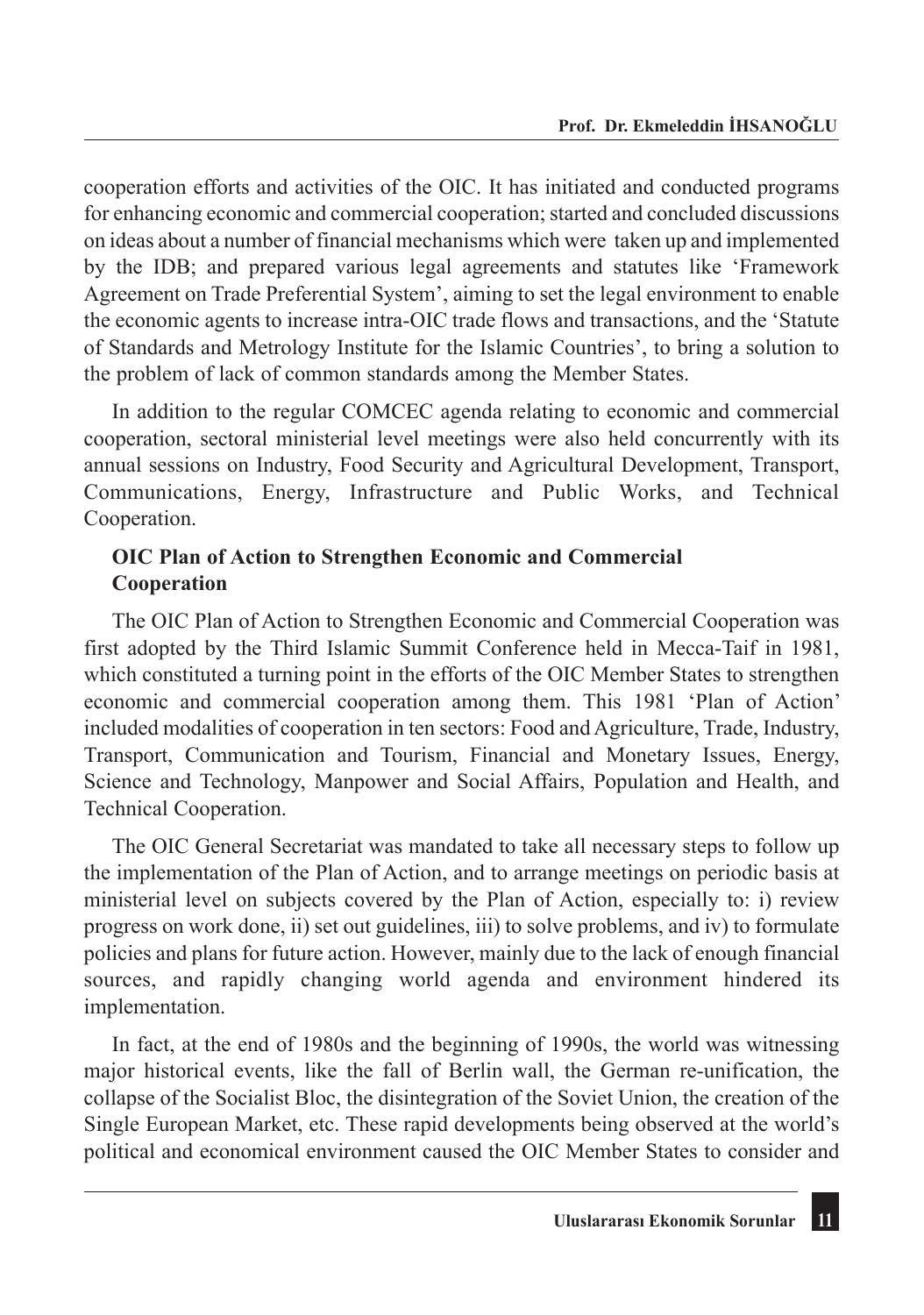cooperation efforts and activities of the OIC. It has initiated and conducted programs for enhancing economic and commercial cooperation; started and concluded discussions on ideas about a number of financial mechanisms which were taken up and implemented by the IDB; and prepared various legal agreements and statutes like 'Framework Agreement on Trade Preferential System', aiming to set the legal environment to enable the economic agents to increase intra-OIC trade flows and transactions, and the 'Statute of Standards and Metrology Institute for the Islamic Countries', to bring a solution to the problem of lack of common standards among the Member States.

In addition to the regular COMCEC agenda relating to economic and commercial cooperation, sectoral ministerial level meetings were also held concurrently with its annual sessions on Industry, Food Security and Agricultural Development, Transport, Communications, Energy, Infrastructure and Public Works, and Technical Cooperation.

# **OIC Plan of Action to Strengthen Economic and Commercial Cooperation**

The OIC Plan of Action to Strengthen Economic and Commercial Cooperation was first adopted by the Third Islamic Summit Conference held in Mecca-Taif in 1981, which constituted a turning point in the efforts of the OIC Member States to strengthen economic and commercial cooperation among them. This 1981 'Plan of Action' included modalities of cooperation in ten sectors: Food and Agriculture, Trade, Industry, Transport, Communication and Tourism, Financial and Monetary Issues, Energy, Science and Technology, Manpower and Social Affairs, Population and Health, and Technical Cooperation.

The OIC General Secretariat was mandated to take all necessary steps to follow up the implementation of the Plan of Action, and to arrange meetings on periodic basis at ministerial level on subjects covered by the Plan of Action, especially to: i) review progress on work done, ii) set out guidelines, iii) to solve problems, and iv) to formulate policies and plans for future action. However, mainly due to the lack of enough financial sources, and rapidly changing world agenda and environment hindered its implementation.

In fact, at the end of 1980s and the beginning of 1990s, the world was witnessing major historical events, like the fall of Berlin wall, the German re-unification, the collapse of the Socialist Bloc, the disintegration of the Soviet Union, the creation of the Single European Market, etc. These rapid developments being observed at the world's political and economical environment caused the OIC Member States to consider and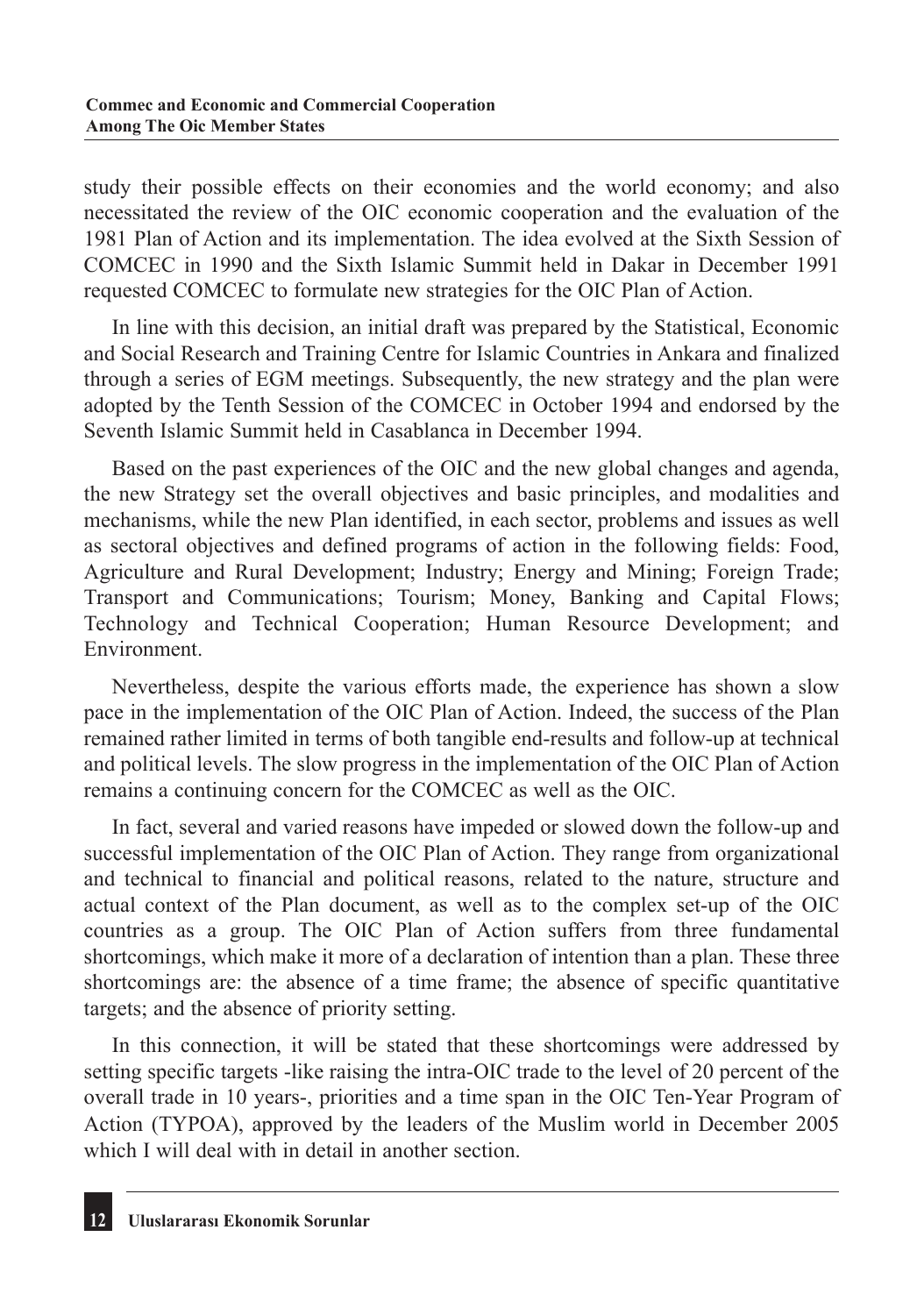study their possible effects on their economies and the world economy; and also necessitated the review of the OIC economic cooperation and the evaluation of the 1981 Plan of Action and its implementation. The idea evolved at the Sixth Session of COMCEC in 1990 and the Sixth Islamic Summit held in Dakar in December 1991 requested COMCEC to formulate new strategies for the OIC Plan of Action.

In line with this decision, an initial draft was prepared by the Statistical, Economic and Social Research and Training Centre for Islamic Countries in Ankara and finalized through a series of EGM meetings. Subsequently, the new strategy and the plan were adopted by the Tenth Session of the COMCEC in October 1994 and endorsed by the Seventh Islamic Summit held in Casablanca in December 1994.

Based on the past experiences of the OIC and the new global changes and agenda, the new Strategy set the overall objectives and basic principles, and modalities and mechanisms, while the new Plan identified, in each sector, problems and issues as well as sectoral objectives and defined programs of action in the following fields: Food, Agriculture and Rural Development; Industry; Energy and Mining; Foreign Trade; Transport and Communications; Tourism; Money, Banking and Capital Flows; Technology and Technical Cooperation; Human Resource Development; and Environment.

Nevertheless, despite the various efforts made, the experience has shown a slow pace in the implementation of the OIC Plan of Action. Indeed, the success of the Plan remained rather limited in terms of both tangible end-results and follow-up at technical and political levels. The slow progress in the implementation of the OIC Plan of Action remains a continuing concern for the COMCEC as well as the OIC.

In fact, several and varied reasons have impeded or slowed down the follow-up and successful implementation of the OIC Plan of Action. They range from organizational and technical to financial and political reasons, related to the nature, structure and actual context of the Plan document, as well as to the complex set-up of the OIC countries as a group. The OIC Plan of Action suffers from three fundamental shortcomings, which make it more of a declaration of intention than a plan. These three shortcomings are: the absence of a time frame; the absence of specific quantitative targets; and the absence of priority setting.

In this connection, it will be stated that these shortcomings were addressed by setting specific targets -like raising the intra-OIC trade to the level of 20 percent of the overall trade in 10 years-, priorities and a time span in the OIC Ten-Year Program of Action (TYPOA), approved by the leaders of the Muslim world in December 2005 which I will deal with in detail in another section.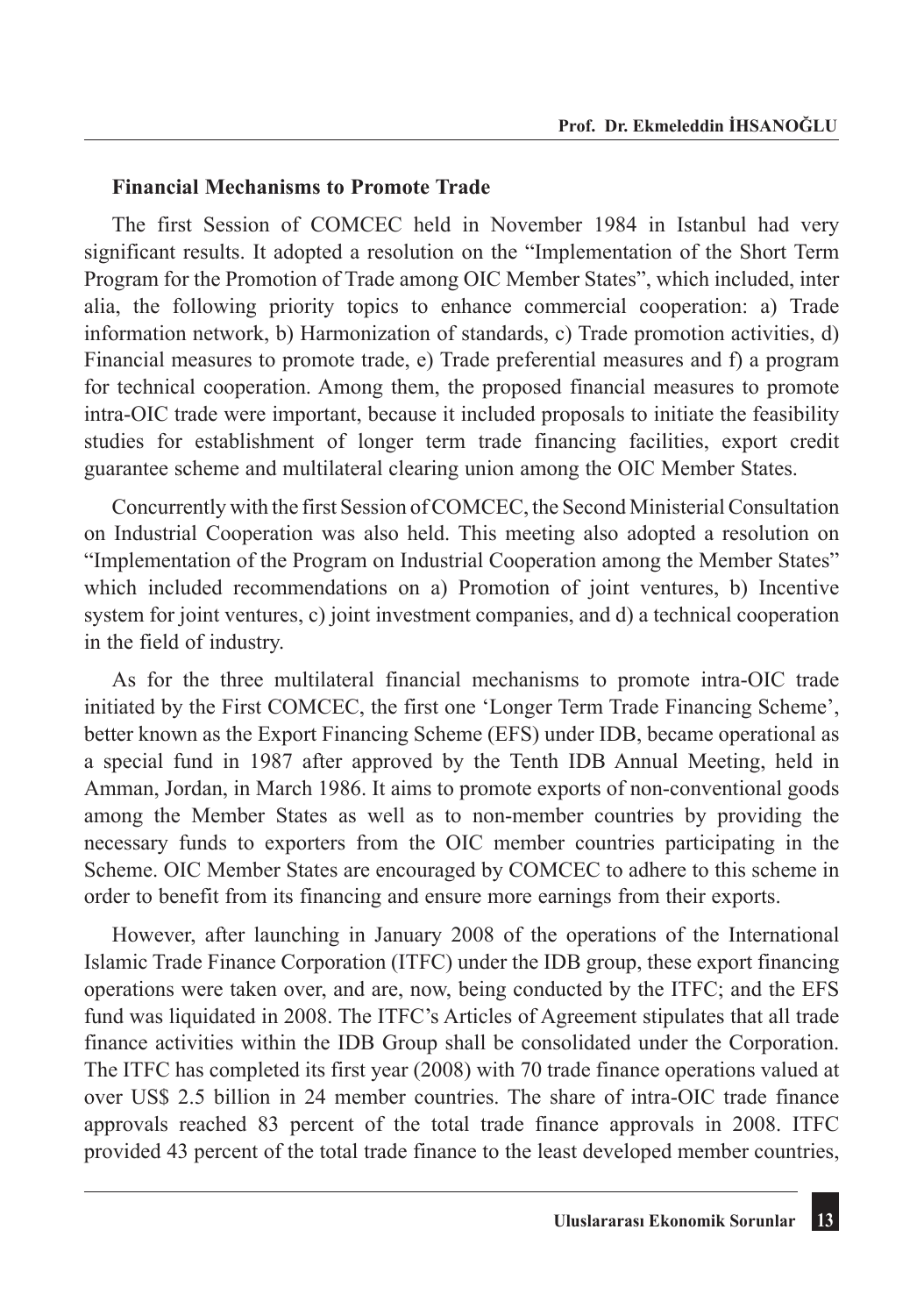#### **Financial Mechanisms to Promote Trade**

The first Session of COMCEC held in November 1984 in Istanbul had very significant results. It adopted a resolution on the "Implementation of the Short Term Program for the Promotion of Trade among OIC Member States", which included, inter alia, the following priority topics to enhance commercial cooperation: a) Trade information network, b) Harmonization of standards, c) Trade promotion activities, d) Financial measures to promote trade, e) Trade preferential measures and f) a program for technical cooperation. Among them, the proposed financial measures to promote intra-OIC trade were important, because it included proposals to initiate the feasibility studies for establishment of longer term trade financing facilities, export credit guarantee scheme and multilateral clearing union among the OIC Member States.

Concurrently with the first Session of COMCEC, the Second Ministerial Consultation on Industrial Cooperation was also held. This meeting also adopted a resolution on "Implementation of the Program on Industrial Cooperation among the Member States" which included recommendations on a) Promotion of joint ventures, b) Incentive system for joint ventures, c) joint investment companies, and d) a technical cooperation in the field of industry.

As for the three multilateral financial mechanisms to promote intra-OIC trade initiated by the First COMCEC, the first one 'Longer Term Trade Financing Scheme', better known as the Export Financing Scheme (EFS) under IDB, became operational as a special fund in 1987 after approved by the Tenth IDB Annual Meeting, held in Amman, Jordan, in March 1986. It aims to promote exports of non-conventional goods among the Member States as well as to non-member countries by providing the necessary funds to exporters from the OIC member countries participating in the Scheme. OIC Member States are encouraged by COMCEC to adhere to this scheme in order to benefit from its financing and ensure more earnings from their exports.

However, after launching in January 2008 of the operations of the International Islamic Trade Finance Corporation (ITFC) under the IDB group, these export financing operations were taken over, and are, now, being conducted by the ITFC; and the EFS fund was liquidated in 2008. The ITFC's Articles of Agreement stipulates that all trade finance activities within the IDB Group shall be consolidated under the Corporation. The ITFC has completed its first year (2008) with 70 trade finance operations valued at over US\$ 2.5 billion in 24 member countries. The share of intra-OIC trade finance approvals reached 83 percent of the total trade finance approvals in 2008. ITFC provided 43 percent of the total trade finance to the least developed member countries,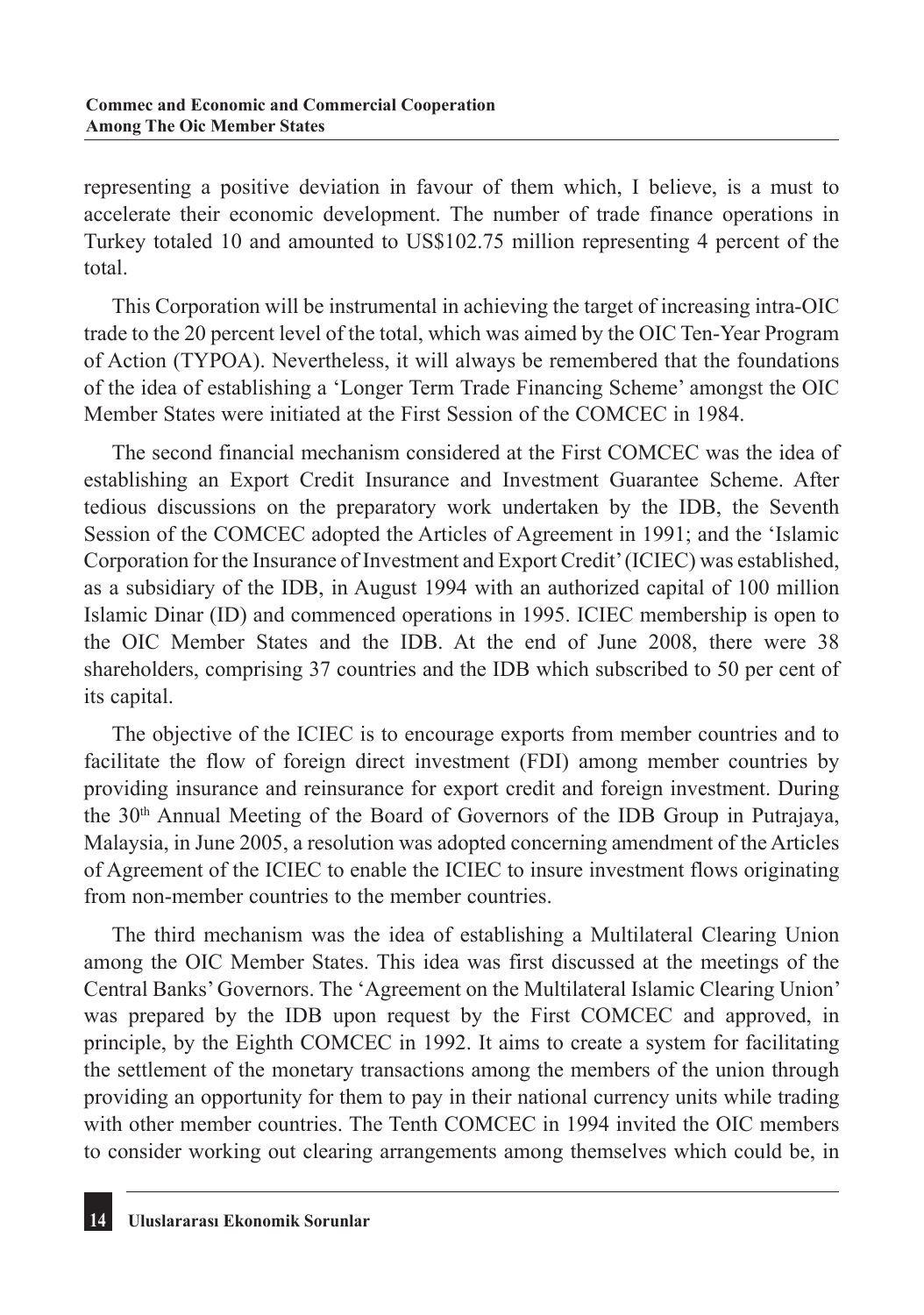representing a positive deviation in favour of them which, I believe, is a must to accelerate their economic development. The number of trade finance operations in Turkey totaled 10 and amounted to US\$102.75 million representing 4 percent of the total.

This Corporation will be instrumental in achieving the target of increasing intra-OIC trade to the 20 percent level of the total, which was aimed by the OIC Ten-Year Program of Action (TYPOA). Nevertheless, it will always be remembered that the foundations of the idea of establishing a 'Longer Term Trade Financing Scheme' amongst the OIC Member States were initiated at the First Session of the COMCEC in 1984.

The second financial mechanism considered at the First COMCEC was the idea of establishing an Export Credit Insurance and Investment Guarantee Scheme. After tedious discussions on the preparatory work undertaken by the IDB, the Seventh Session of the COMCEC adopted the Articles of Agreement in 1991; and the 'Islamic Corporation for the Insurance of Investment and Export Credit' (ICIEC) was established, as a subsidiary of the IDB, in August 1994 with an authorized capital of 100 million Islamic Dinar (ID) and commenced operations in 1995. ICIEC membership is open to the OIC Member States and the IDB. At the end of June 2008, there were 38 shareholders, comprising 37 countries and the IDB which subscribed to 50 per cent of its capital.

The objective of the ICIEC is to encourage exports from member countries and to facilitate the flow of foreign direct investment (FDI) among member countries by providing insurance and reinsurance for export credit and foreign investment. During the 30th Annual Meeting of the Board of Governors of the IDB Group in Putrajaya, Malaysia, in June 2005, a resolution was adopted concerning amendment of the Articles of Agreement of the ICIEC to enable the ICIEC to insure investment flows originating from non-member countries to the member countries.

The third mechanism was the idea of establishing a Multilateral Clearing Union among the OIC Member States. This idea was first discussed at the meetings of the Central Banks' Governors. The 'Agreement on the Multilateral Islamic Clearing Union' was prepared by the IDB upon request by the First COMCEC and approved, in principle, by the Eighth COMCEC in 1992. It aims to create a system for facilitating the settlement of the monetary transactions among the members of the union through providing an opportunity for them to pay in their national currency units while trading with other member countries. The Tenth COMCEC in 1994 invited the OIC members to consider working out clearing arrangements among themselves which could be, in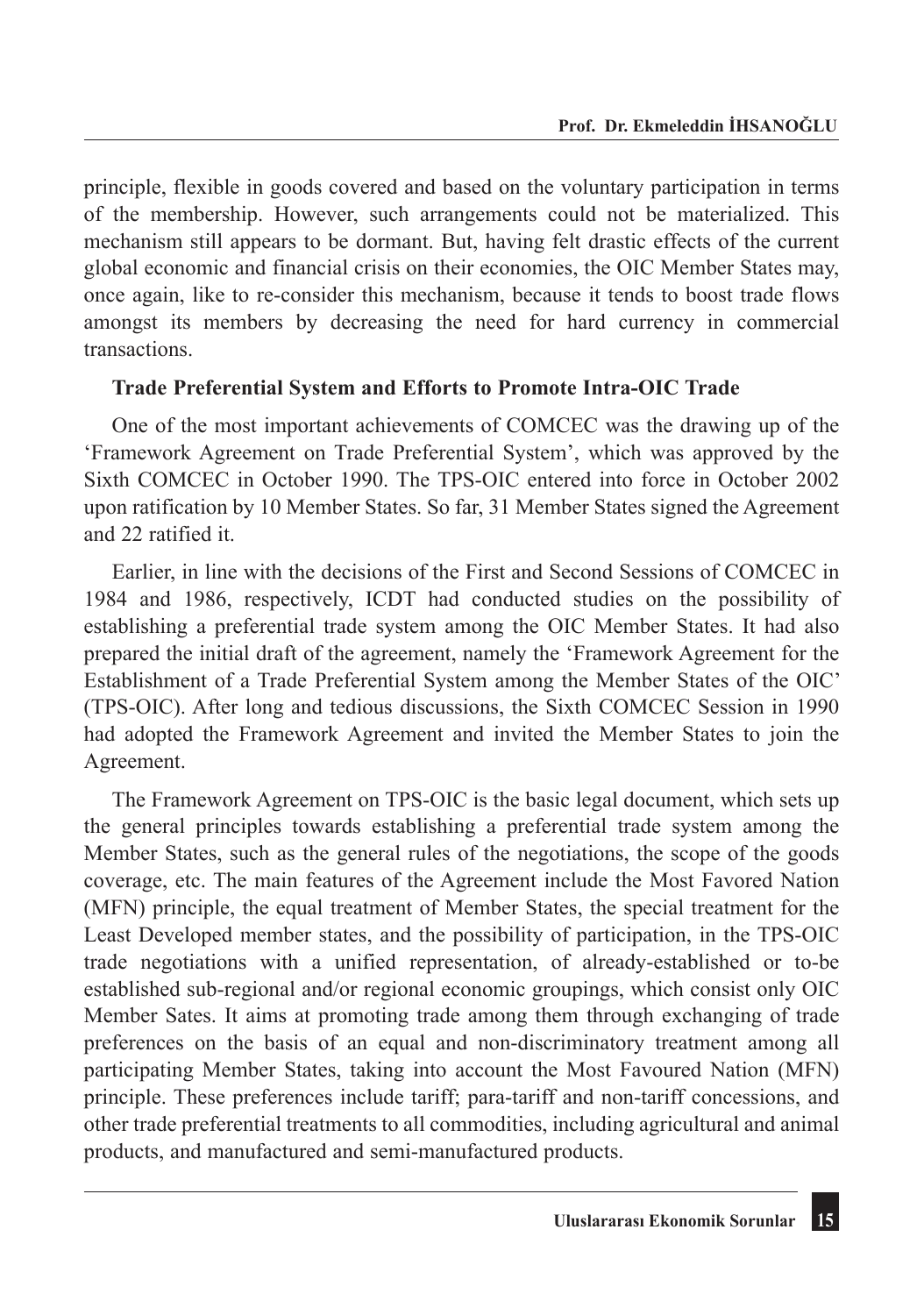principle, flexible in goods covered and based on the voluntary participation in terms of the membership. However, such arrangements could not be materialized. This mechanism still appears to be dormant. But, having felt drastic effects of the current global economic and financial crisis on their economies, the OIC Member States may, once again, like to re-consider this mechanism, because it tends to boost trade flows amongst its members by decreasing the need for hard currency in commercial transactions.

#### **Trade Preferential System and Efforts to Promote Intra-OIC Trade**

One of the most important achievements of COMCEC was the drawing up of the 'Framework Agreement on Trade Preferential System', which was approved by the Sixth COMCEC in October 1990. The TPS-OIC entered into force in October 2002 upon ratification by 10 Member States. So far, 31 Member States signed the Agreement and 22 ratified it.

Earlier, in line with the decisions of the First and Second Sessions of COMCEC in 1984 and 1986, respectively, ICDT had conducted studies on the possibility of establishing a preferential trade system among the OIC Member States. It had also prepared the initial draft of the agreement, namely the 'Framework Agreement for the Establishment of a Trade Preferential System among the Member States of the OIC' (TPS-OIC). After long and tedious discussions, the Sixth COMCEC Session in 1990 had adopted the Framework Agreement and invited the Member States to join the Agreement.

The Framework Agreement on TPS-OIC is the basic legal document, which sets up the general principles towards establishing a preferential trade system among the Member States, such as the general rules of the negotiations, the scope of the goods coverage, etc. The main features of the Agreement include the Most Favored Nation (MFN) principle, the equal treatment of Member States, the special treatment for the Least Developed member states, and the possibility of participation, in the TPS-OIC trade negotiations with a unified representation, of already-established or to-be established sub-regional and/or regional economic groupings, which consist only OIC Member Sates. It aims at promoting trade among them through exchanging of trade preferences on the basis of an equal and non-discriminatory treatment among all participating Member States, taking into account the Most Favoured Nation (MFN) principle. These preferences include tariff; para-tariff and non-tariff concessions, and other trade preferential treatments to all commodities, including agricultural and animal products, and manufactured and semi-manufactured products.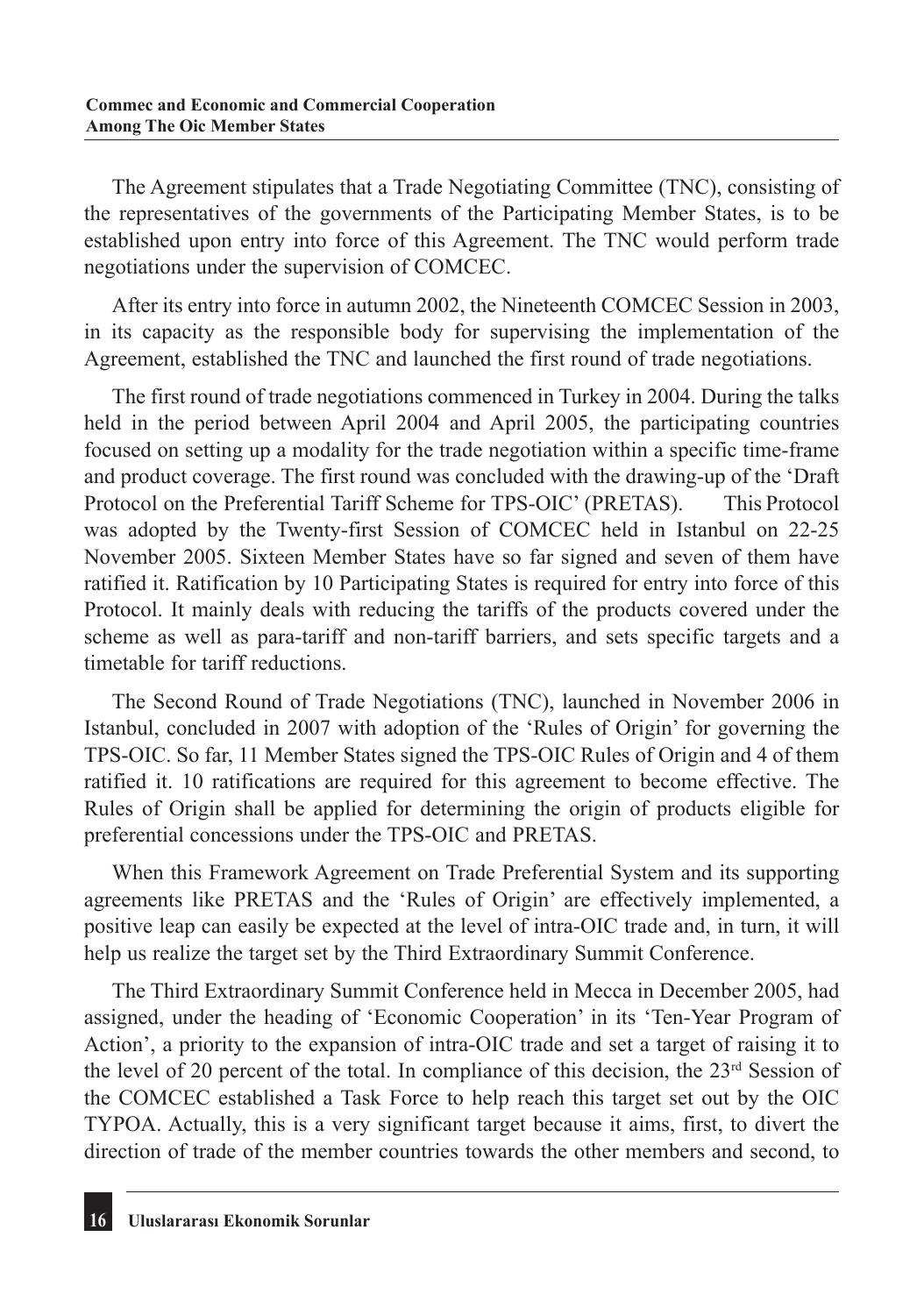The Agreement stipulates that a Trade Negotiating Committee (TNC), consisting of the representatives of the governments of the Participating Member States, is to be established upon entry into force of this Agreement. The TNC would perform trade negotiations under the supervision of COMCEC.

After its entry into force in autumn 2002, the Nineteenth COMCEC Session in 2003, in its capacity as the responsible body for supervising the implementation of the Agreement, established the TNC and launched the first round of trade negotiations.

The first round of trade negotiations commenced in Turkey in 2004. During the talks held in the period between April 2004 and April 2005, the participating countries focused on setting up a modality for the trade negotiation within a specific time-frame and product coverage. The first round was concluded with the drawing-up of the 'Draft Protocol on the Preferential Tariff Scheme for TPS-OIC' (PRETAS). This Protocol was adopted by the Twenty-first Session of COMCEC held in Istanbul on 22-25 November 2005. Sixteen Member States have so far signed and seven of them have ratified it. Ratification by 10 Participating States is required for entry into force of this Protocol. It mainly deals with reducing the tariffs of the products covered under the scheme as well as para-tariff and non-tariff barriers, and sets specific targets and a timetable for tariff reductions.

The Second Round of Trade Negotiations (TNC), launched in November 2006 in Istanbul, concluded in 2007 with adoption of the 'Rules of Origin' for governing the TPS-OIC. So far, 11 Member States signed the TPS-OIC Rules of Origin and 4 of them ratified it. 10 ratifications are required for this agreement to become effective. The Rules of Origin shall be applied for determining the origin of products eligible for preferential concessions under the TPS-OIC and PRETAS.

When this Framework Agreement on Trade Preferential System and its supporting agreements like PRETAS and the 'Rules of Origin' are effectively implemented, a positive leap can easily be expected at the level of intra-OIC trade and, in turn, it will help us realize the target set by the Third Extraordinary Summit Conference.

The Third Extraordinary Summit Conference held in Mecca in December 2005, had assigned, under the heading of 'Economic Cooperation' in its 'Ten-Year Program of Action', a priority to the expansion of intra-OIC trade and set a target of raising it to the level of 20 percent of the total. In compliance of this decision, the  $23<sup>rd</sup>$  Session of the COMCEC established a Task Force to help reach this target set out by the OIC TYPOA. Actually, this is a very significant target because it aims, first, to divert the direction of trade of the member countries towards the other members and second, to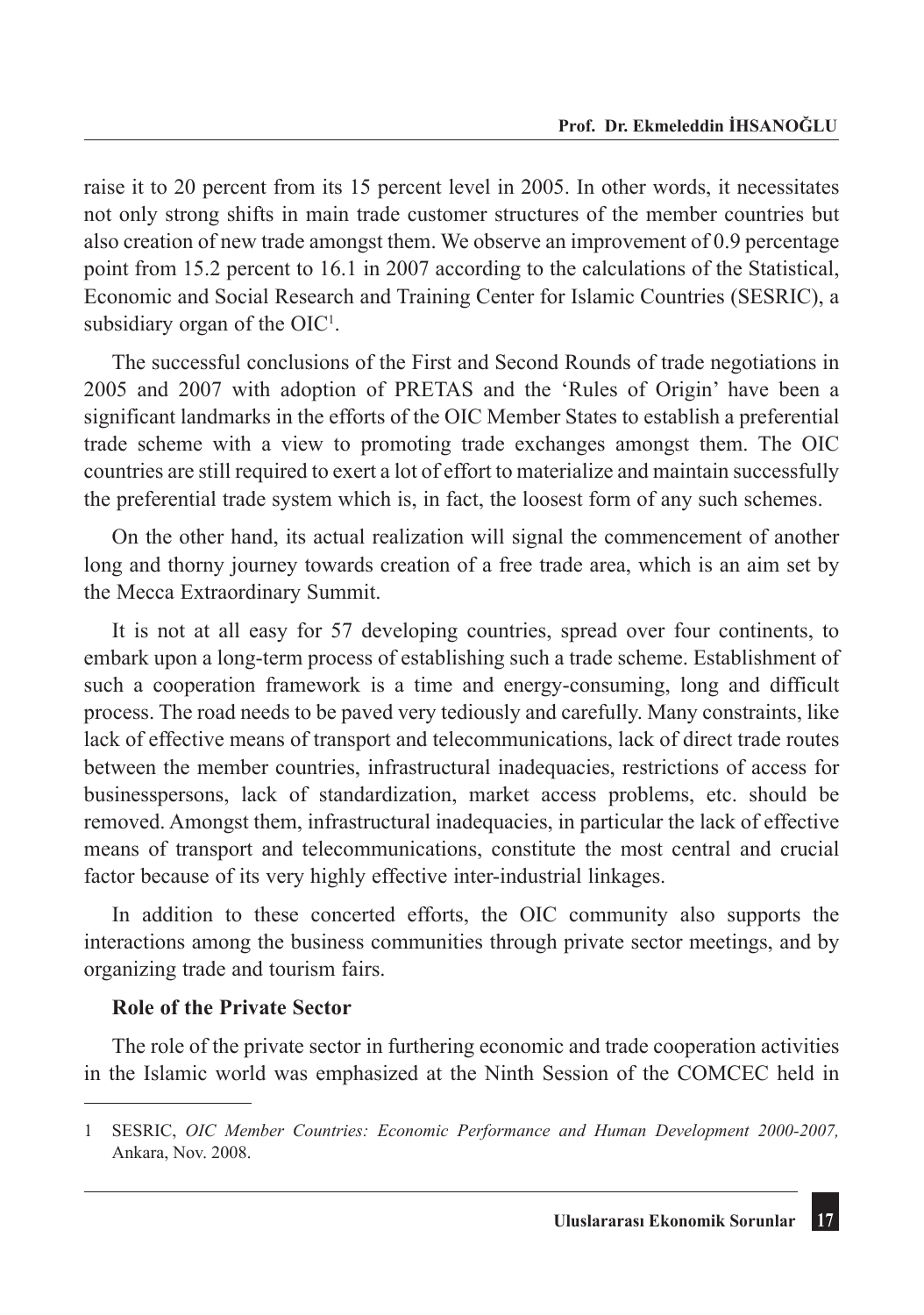raise it to 20 percent from its 15 percent level in 2005. In other words, it necessitates not only strong shifts in main trade customer structures of the member countries but also creation of new trade amongst them. We observe an improvement of 0.9 percentage point from 15.2 percent to 16.1 in 2007 according to the calculations of the Statistical, Economic and Social Research and Training Center for Islamic Countries (SESRIC), a subsidiary organ of the  $OIC<sup>1</sup>$ .

The successful conclusions of the First and Second Rounds of trade negotiations in 2005 and 2007 with adoption of PRETAS and the 'Rules of Origin' have been a significant landmarks in the efforts of the OIC Member States to establish a preferential trade scheme with a view to promoting trade exchanges amongst them. The OIC countries are still required to exert a lot of effort to materialize and maintain successfully the preferential trade system which is, in fact, the loosest form of any such schemes.

On the other hand, its actual realization will signal the commencement of another long and thorny journey towards creation of a free trade area, which is an aim set by the Mecca Extraordinary Summit.

It is not at all easy for 57 developing countries, spread over four continents, to embark upon a long-term process of establishing such a trade scheme. Establishment of such a cooperation framework is a time and energy-consuming, long and difficult process. The road needs to be paved very tediously and carefully. Many constraints, like lack of effective means of transport and telecommunications, lack of direct trade routes between the member countries, infrastructural inadequacies, restrictions of access for businesspersons, lack of standardization, market access problems, etc. should be removed. Amongst them, infrastructural inadequacies, in particular the lack of effective means of transport and telecommunications, constitute the most central and crucial factor because of its very highly effective inter-industrial linkages.

In addition to these concerted efforts, the OIC community also supports the interactions among the business communities through private sector meetings, and by organizing trade and tourism fairs.

#### **Role of the Private Sector**

The role of the private sector in furthering economic and trade cooperation activities in the Islamic world was emphasized at the Ninth Session of the COMCEC held in

<sup>1</sup> SESRIC, *OIC Member Countries: Economic Performance and Human Development 2000-2007,* Ankara, Nov. 2008.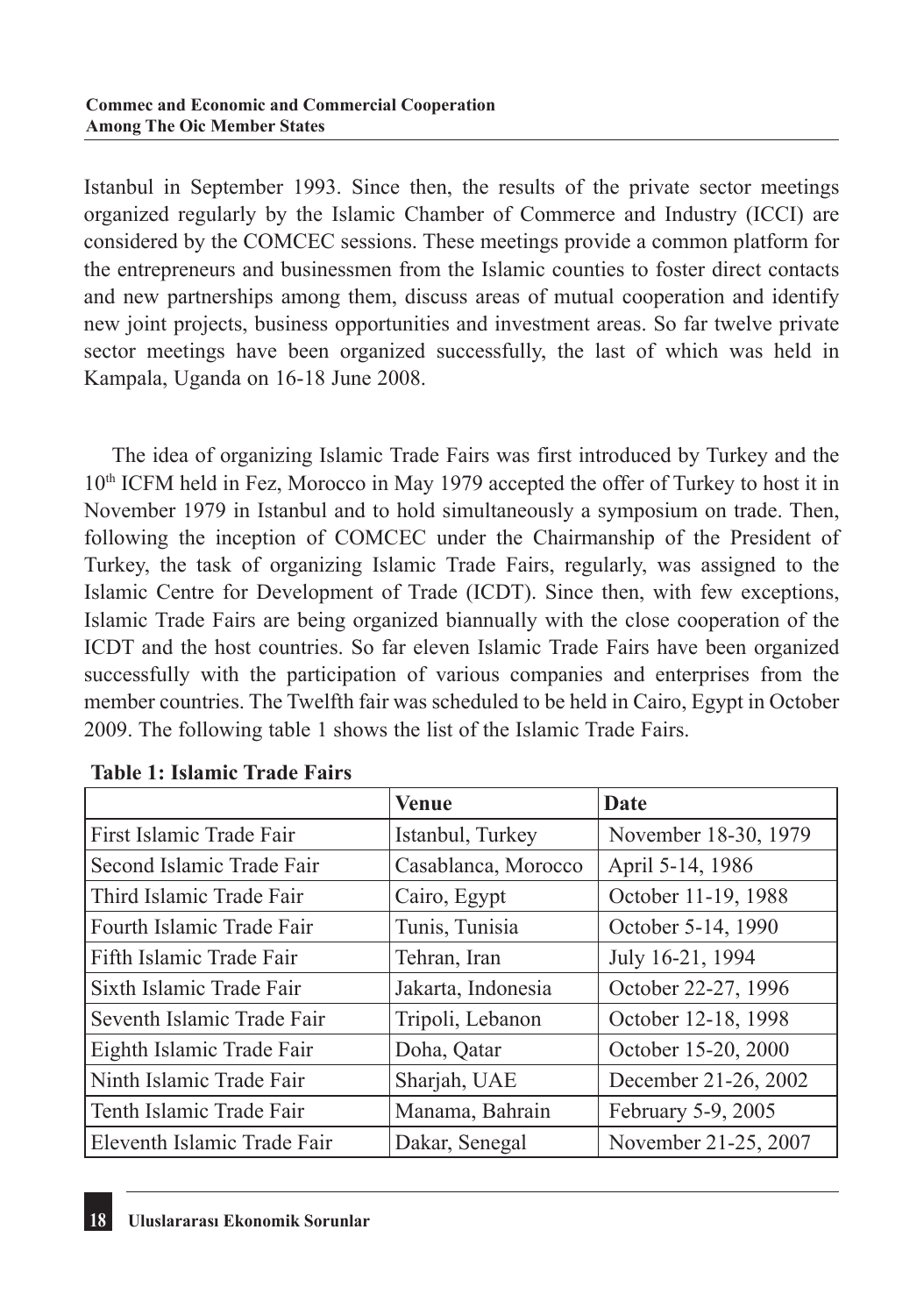Istanbul in September 1993. Since then, the results of the private sector meetings organized regularly by the Islamic Chamber of Commerce and Industry (ICCI) are considered by the COMCEC sessions. These meetings provide a common platform for the entrepreneurs and businessmen from the Islamic counties to foster direct contacts and new partnerships among them, discuss areas of mutual cooperation and identify new joint projects, business opportunities and investment areas. So far twelve private sector meetings have been organized successfully, the last of which was held in Kampala, Uganda on 16-18 June 2008.

The idea of organizing Islamic Trade Fairs was first introduced by Turkey and the  $10<sup>th</sup> ICFM$  held in Fez, Morocco in May 1979 accepted the offer of Turkey to host it in November 1979 in Istanbul and to hold simultaneously a symposium on trade. Then, following the inception of COMCEC under the Chairmanship of the President of Turkey, the task of organizing Islamic Trade Fairs, regularly, was assigned to the Islamic Centre for Development of Trade (ICDT). Since then, with few exceptions, Islamic Trade Fairs are being organized biannually with the close cooperation of the ICDT and the host countries. So far eleven Islamic Trade Fairs have been organized successfully with the participation of various companies and enterprises from the member countries. The Twelfth fair was scheduled to be held in Cairo, Egypt in October 2009. The following table 1 shows the list of the Islamic Trade Fairs.

|                             | <b>Venue</b>        | Date                 |
|-----------------------------|---------------------|----------------------|
| First Islamic Trade Fair    | Istanbul, Turkey    | November 18-30, 1979 |
| Second Islamic Trade Fair   | Casablanca, Morocco | April 5-14, 1986     |
| Third Islamic Trade Fair    | Cairo, Egypt        | October 11-19, 1988  |
| Fourth Islamic Trade Fair   | Tunis, Tunisia      | October 5-14, 1990   |
| Fifth Islamic Trade Fair    | Tehran, Iran        | July 16-21, 1994     |
| Sixth Islamic Trade Fair    | Jakarta, Indonesia  | October 22-27, 1996  |
| Seventh Islamic Trade Fair  | Tripoli, Lebanon    | October 12-18, 1998  |
| Eighth Islamic Trade Fair   | Doha, Qatar         | October 15-20, 2000  |
| Ninth Islamic Trade Fair    | Sharjah, UAE        | December 21-26, 2002 |
| Tenth Islamic Trade Fair    | Manama, Bahrain     | February 5-9, 2005   |
| Eleventh Islamic Trade Fair | Dakar, Senegal      | November 21-25, 2007 |

|  |  | <b>Table 1: Islamic Trade Fairs</b> |  |  |
|--|--|-------------------------------------|--|--|
|--|--|-------------------------------------|--|--|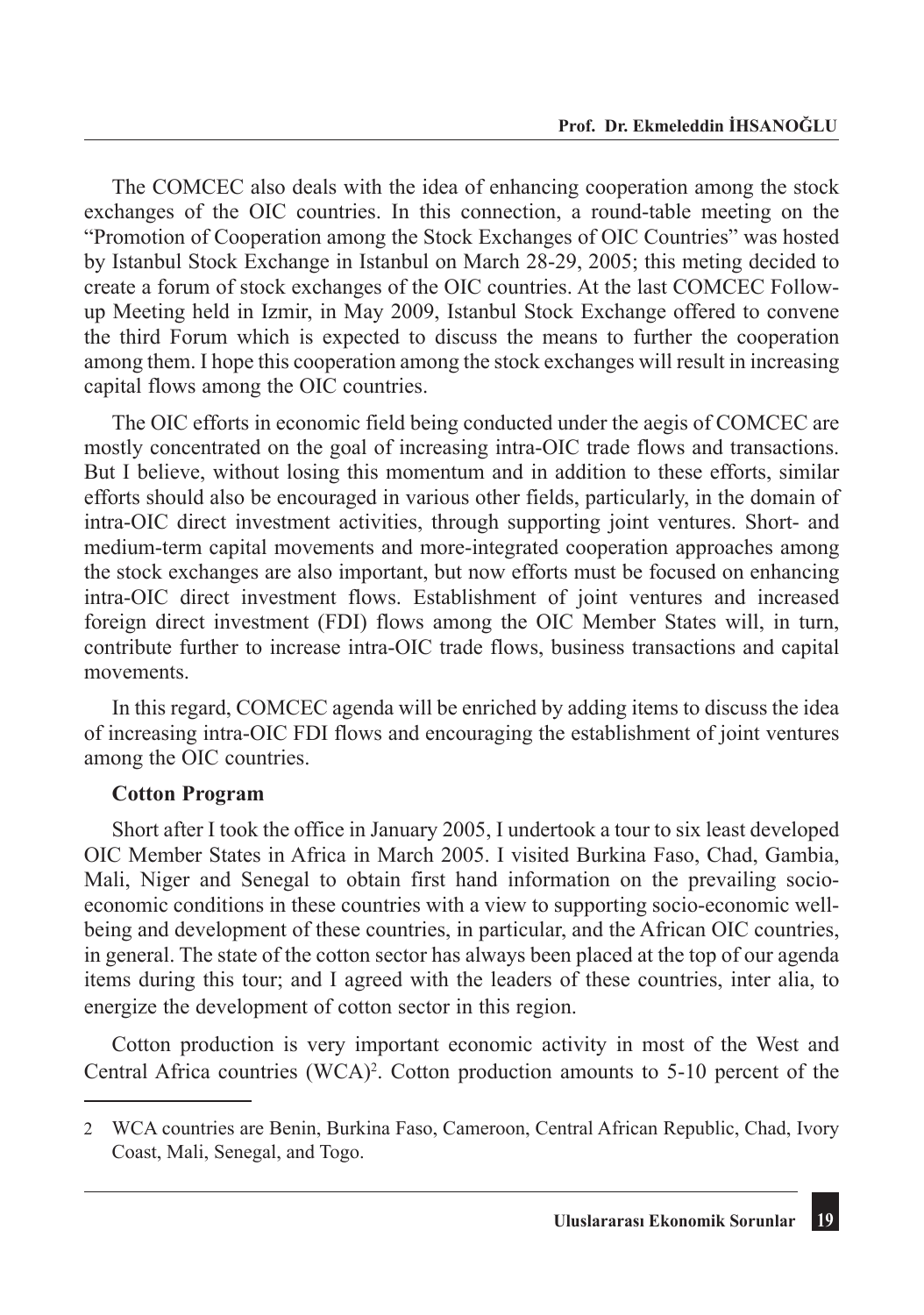The COMCEC also deals with the idea of enhancing cooperation among the stock exchanges of the OIC countries. In this connection, a round-table meeting on the "Promotion of Cooperation among the Stock Exchanges of OIC Countries" was hosted by Istanbul Stock Exchange in Istanbul on March 28-29, 2005; this meting decided to create a forum of stock exchanges of the OIC countries. At the last COMCEC Followup Meeting held in Izmir, in May 2009, Istanbul Stock Exchange offered to convene the third Forum which is expected to discuss the means to further the cooperation among them. I hope this cooperation among the stock exchanges will result in increasing capital flows among the OIC countries.

The OIC efforts in economic field being conducted under the aegis of COMCEC are mostly concentrated on the goal of increasing intra-OIC trade flows and transactions. But I believe, without losing this momentum and in addition to these efforts, similar efforts should also be encouraged in various other fields, particularly, in the domain of intra-OIC direct investment activities, through supporting joint ventures. Short- and medium-term capital movements and more-integrated cooperation approaches among the stock exchanges are also important, but now efforts must be focused on enhancing intra-OIC direct investment flows. Establishment of joint ventures and increased foreign direct investment (FDI) flows among the OIC Member States will, in turn, contribute further to increase intra-OIC trade flows, business transactions and capital movements.

In this regard, COMCEC agenda will be enriched by adding items to discuss the idea of increasing intra-OIC FDI flows and encouraging the establishment of joint ventures among the OIC countries.

#### **Cotton Program**

Short after I took the office in January 2005, I undertook a tour to six least developed OIC Member States in Africa in March 2005. I visited Burkina Faso, Chad, Gambia, Mali, Niger and Senegal to obtain first hand information on the prevailing socioeconomic conditions in these countries with a view to supporting socio-economic wellbeing and development of these countries, in particular, and the African OIC countries, in general. The state of the cotton sector has always been placed at the top of our agenda items during this tour; and I agreed with the leaders of these countries, inter alia, to energize the development of cotton sector in this region.

Cotton production is very important economic activity in most of the West and Central Africa countries  $(WCA)^2$ . Cotton production amounts to 5-10 percent of the

<sup>2</sup> WCA countries are Benin, Burkina Faso, Cameroon, Central African Republic, Chad, Ivory Coast, Mali, Senegal, and Togo.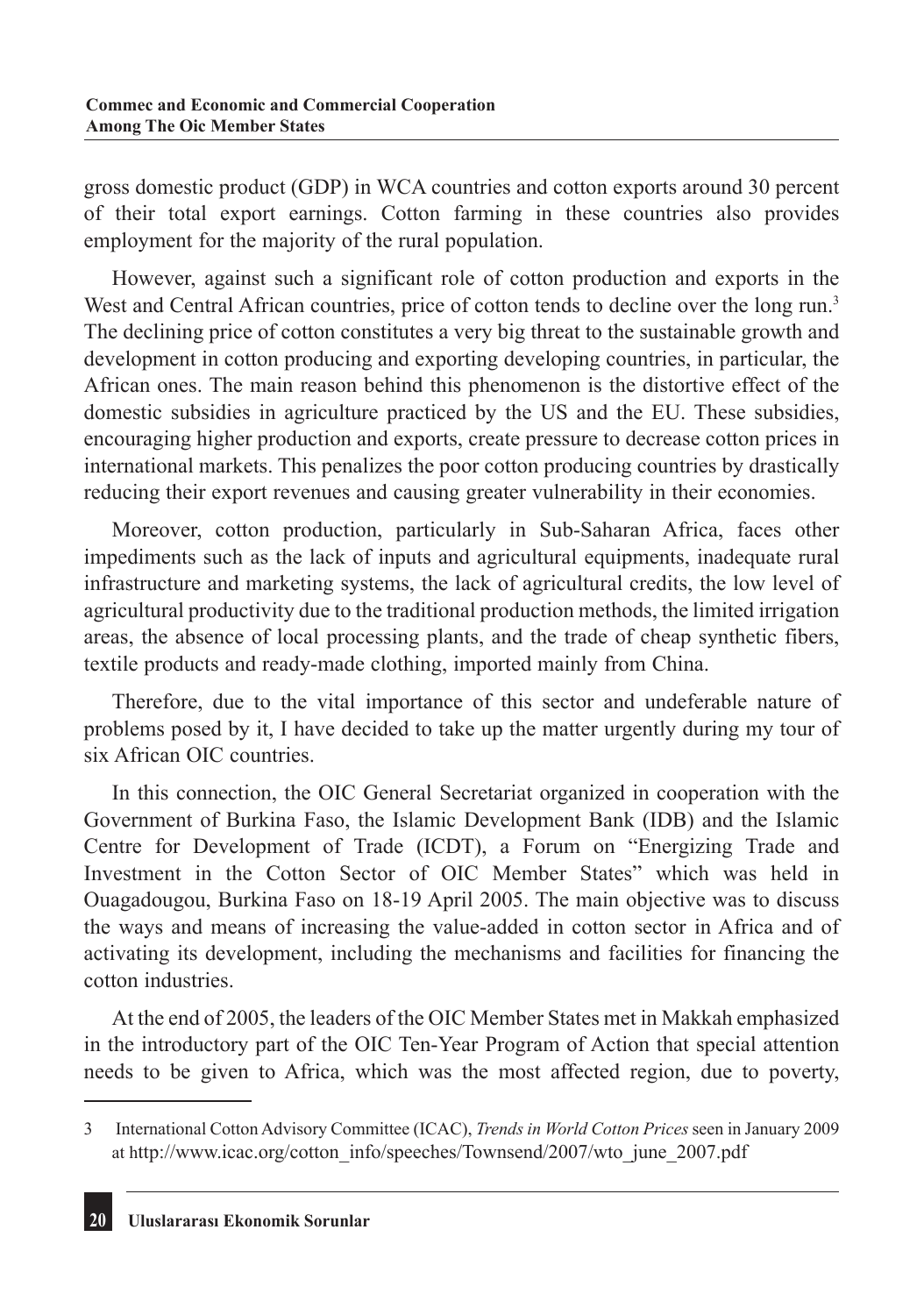gross domestic product (GDP) in WCA countries and cotton exports around 30 percent of their total export earnings. Cotton farming in these countries also provides employment for the majority of the rural population.

However, against such a significant role of cotton production and exports in the West and Central African countries, price of cotton tends to decline over the long run.<sup>3</sup> The declining price of cotton constitutes a very big threat to the sustainable growth and development in cotton producing and exporting developing countries, in particular, the African ones. The main reason behind this phenomenon is the distortive effect of the domestic subsidies in agriculture practiced by the US and the EU. These subsidies, encouraging higher production and exports, create pressure to decrease cotton prices in international markets. This penalizes the poor cotton producing countries by drastically reducing their export revenues and causing greater vulnerability in their economies.

Moreover, cotton production, particularly in Sub-Saharan Africa, faces other impediments such as the lack of inputs and agricultural equipments, inadequate rural infrastructure and marketing systems, the lack of agricultural credits, the low level of agricultural productivity due to the traditional production methods, the limited irrigation areas, the absence of local processing plants, and the trade of cheap synthetic fibers, textile products and ready-made clothing, imported mainly from China.

Therefore, due to the vital importance of this sector and undeferable nature of problems posed by it, I have decided to take up the matter urgently during my tour of six African OIC countries.

In this connection, the OIC General Secretariat organized in cooperation with the Government of Burkina Faso, the Islamic Development Bank (IDB) and the Islamic Centre for Development of Trade (ICDT), a Forum on "Energizing Trade and Investment in the Cotton Sector of OIC Member States" which was held in Ouagadougou, Burkina Faso on 18-19 April 2005. The main objective was to discuss the ways and means of increasing the value-added in cotton sector in Africa and of activating its development, including the mechanisms and facilities for financing the cotton industries.

At the end of 2005, the leaders of the OIC Member States met in Makkah emphasized in the introductory part of the OIC Ten-Year Program of Action that special attention needs to be given to Africa, which was the most affected region, due to poverty,

<sup>3</sup> International Cotton Advisory Committee (ICAC), *Trends in World Cotton Prices* seen in January 2009 at http://www.icac.org/cotton\_info/speeches/Townsend/2007/wto\_june\_2007.pdf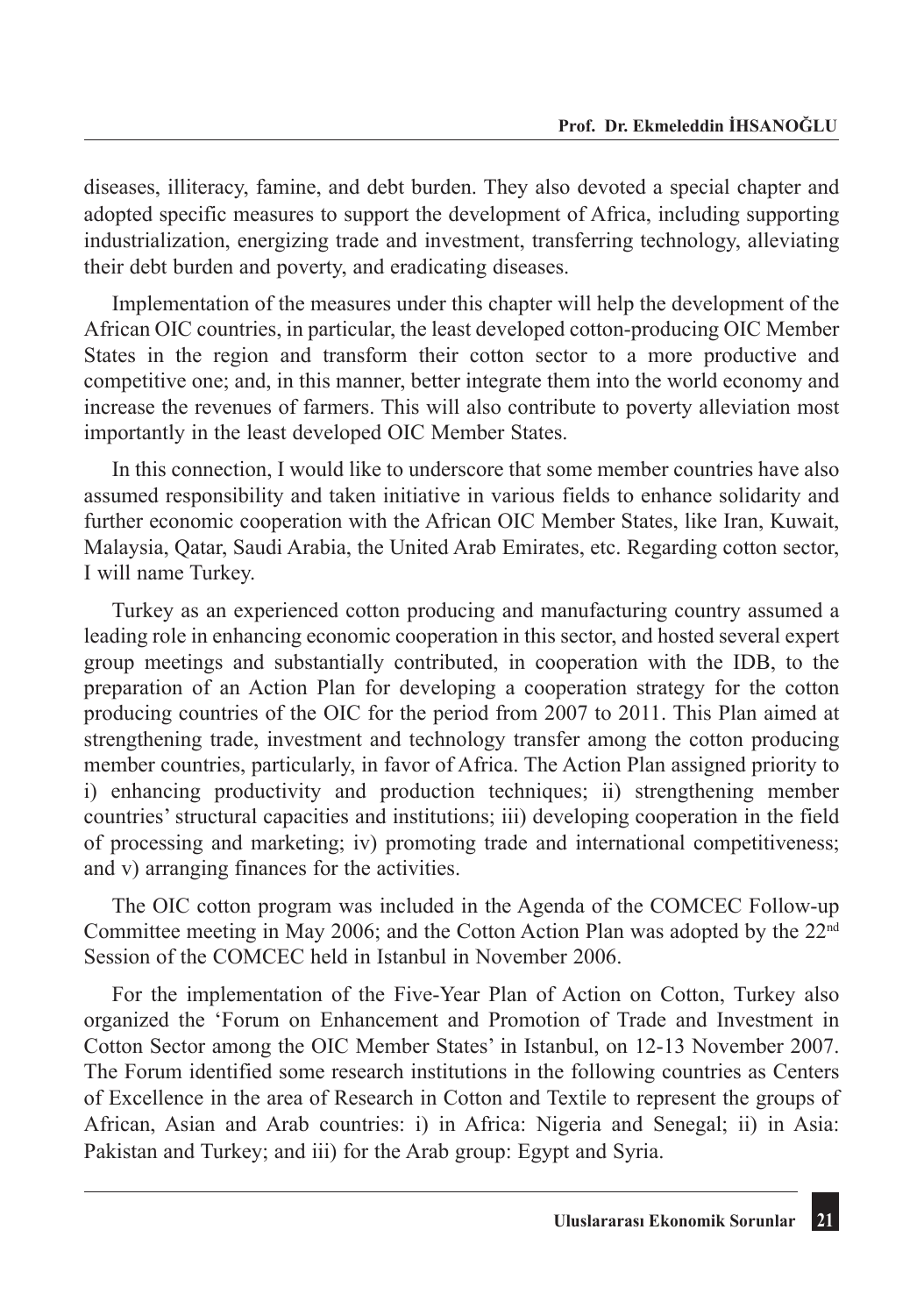diseases, illiteracy, famine, and debt burden. They also devoted a special chapter and adopted specific measures to support the development of Africa, including supporting industrialization, energizing trade and investment, transferring technology, alleviating their debt burden and poverty, and eradicating diseases.

Implementation of the measures under this chapter will help the development of the African OIC countries, in particular, the least developed cotton-producing OIC Member States in the region and transform their cotton sector to a more productive and competitive one; and, in this manner, better integrate them into the world economy and increase the revenues of farmers. This will also contribute to poverty alleviation most importantly in the least developed OIC Member States.

In this connection, I would like to underscore that some member countries have also assumed responsibility and taken initiative in various fields to enhance solidarity and further economic cooperation with the African OIC Member States, like Iran, Kuwait, Malaysia, Qatar, Saudi Arabia, the United Arab Emirates, etc. Regarding cotton sector, I will name Turkey.

Turkey as an experienced cotton producing and manufacturing country assumed a leading role in enhancing economic cooperation in this sector, and hosted several expert group meetings and substantially contributed, in cooperation with the IDB, to the preparation of an Action Plan for developing a cooperation strategy for the cotton producing countries of the OIC for the period from 2007 to 2011. This Plan aimed at strengthening trade, investment and technology transfer among the cotton producing member countries, particularly, in favor of Africa. The Action Plan assigned priority to i) enhancing productivity and production techniques; ii) strengthening member countries' structural capacities and institutions; iii) developing cooperation in the field of processing and marketing; iv) promoting trade and international competitiveness; and v) arranging finances for the activities.

The OIC cotton program was included in the Agenda of the COMCEC Follow-up Committee meeting in May 2006; and the Cotton Action Plan was adopted by the  $22<sup>nd</sup>$ Session of the COMCEC held in Istanbul in November 2006.

For the implementation of the Five-Year Plan of Action on Cotton, Turkey also organized the 'Forum on Enhancement and Promotion of Trade and Investment in Cotton Sector among the OIC Member States' in Istanbul, on 12-13 November 2007. The Forum identified some research institutions in the following countries as Centers of Excellence in the area of Research in Cotton and Textile to represent the groups of African, Asian and Arab countries: i) in Africa: Nigeria and Senegal; ii) in Asia: Pakistan and Turkey; and iii) for the Arab group: Egypt and Syria.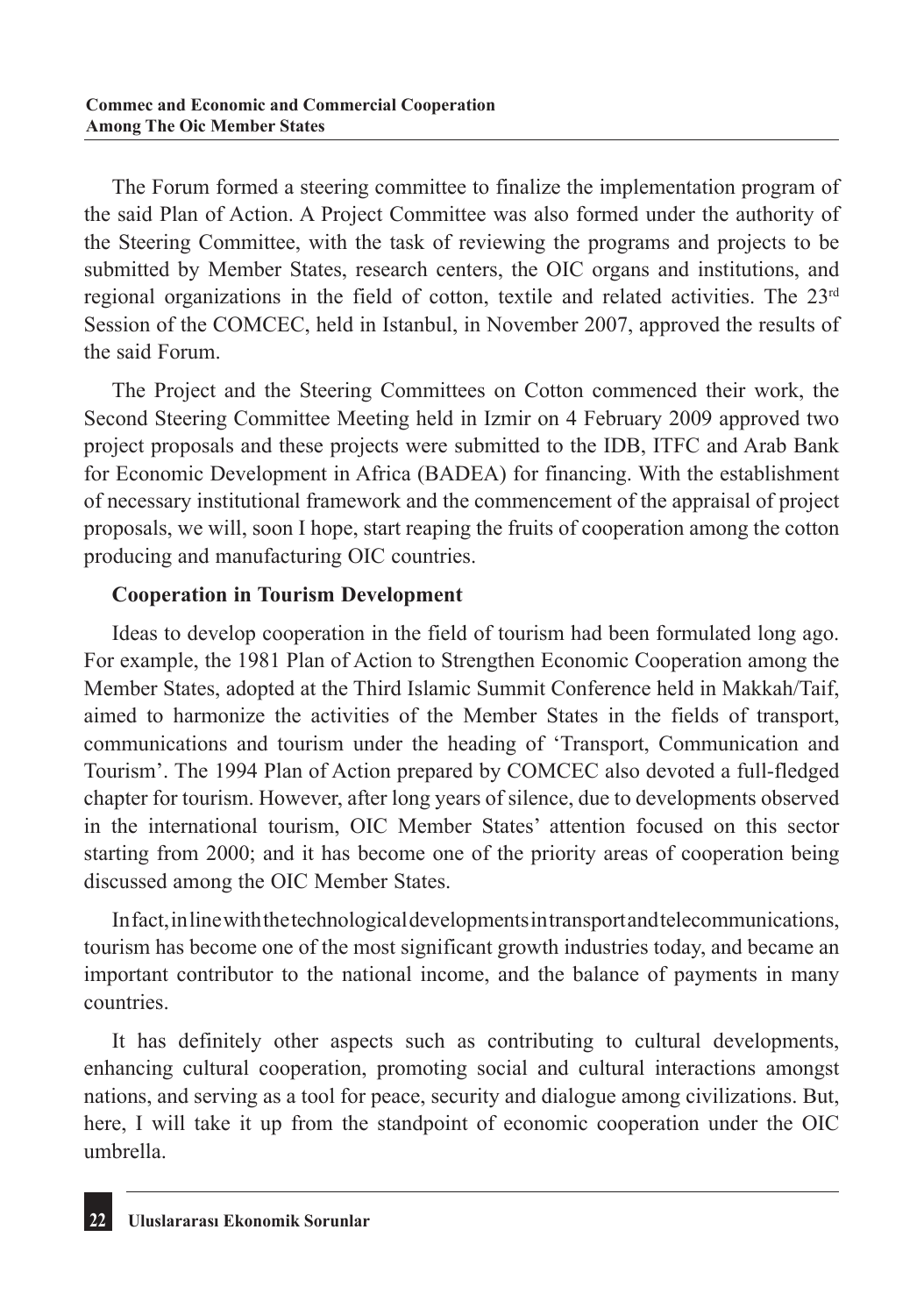The Forum formed a steering committee to finalize the implementation program of the said Plan of Action. A Project Committee was also formed under the authority of the Steering Committee, with the task of reviewing the programs and projects to be submitted by Member States, research centers, the OIC organs and institutions, and regional organizations in the field of cotton, textile and related activities. The  $23<sup>rd</sup>$ Session of the COMCEC, held in Istanbul, in November 2007, approved the results of the said Forum.

The Project and the Steering Committees on Cotton commenced their work, the Second Steering Committee Meeting held in Izmir on 4 February 2009 approved two project proposals and these projects were submitted to the IDB, ITFC and Arab Bank for Economic Development in Africa (BADEA) for financing. With the establishment of necessary institutional framework and the commencement of the appraisal of project proposals, we will, soon I hope, start reaping the fruits of cooperation among the cotton producing and manufacturing OIC countries.

# **Cooperation in Tourism Development**

Ideas to develop cooperation in the field of tourism had been formulated long ago. For example, the 1981 Plan of Action to Strengthen Economic Cooperation among the Member States, adopted at the Third Islamic Summit Conference held in Makkah/Taif, aimed to harmonize the activities of the Member States in the fields of transport, communications and tourism under the heading of 'Transport, Communication and Tourism'. The 1994 Plan of Action prepared by COMCEC also devoted a full-fledged chapter for tourism. However, after long years of silence, due to developments observed in the international tourism, OIC Member States' attention focused on this sector starting from 2000; and it has become one of the priority areas of cooperation being discussed among the OIC Member States.

In fact, in line with the technological developments in transport and telecommunications, tourism has become one of the most significant growth industries today, and became an important contributor to the national income, and the balance of payments in many countries.

It has definitely other aspects such as contributing to cultural developments, enhancing cultural cooperation, promoting social and cultural interactions amongst nations, and serving as a tool for peace, security and dialogue among civilizations. But, here, I will take it up from the standpoint of economic cooperation under the OIC umbrella.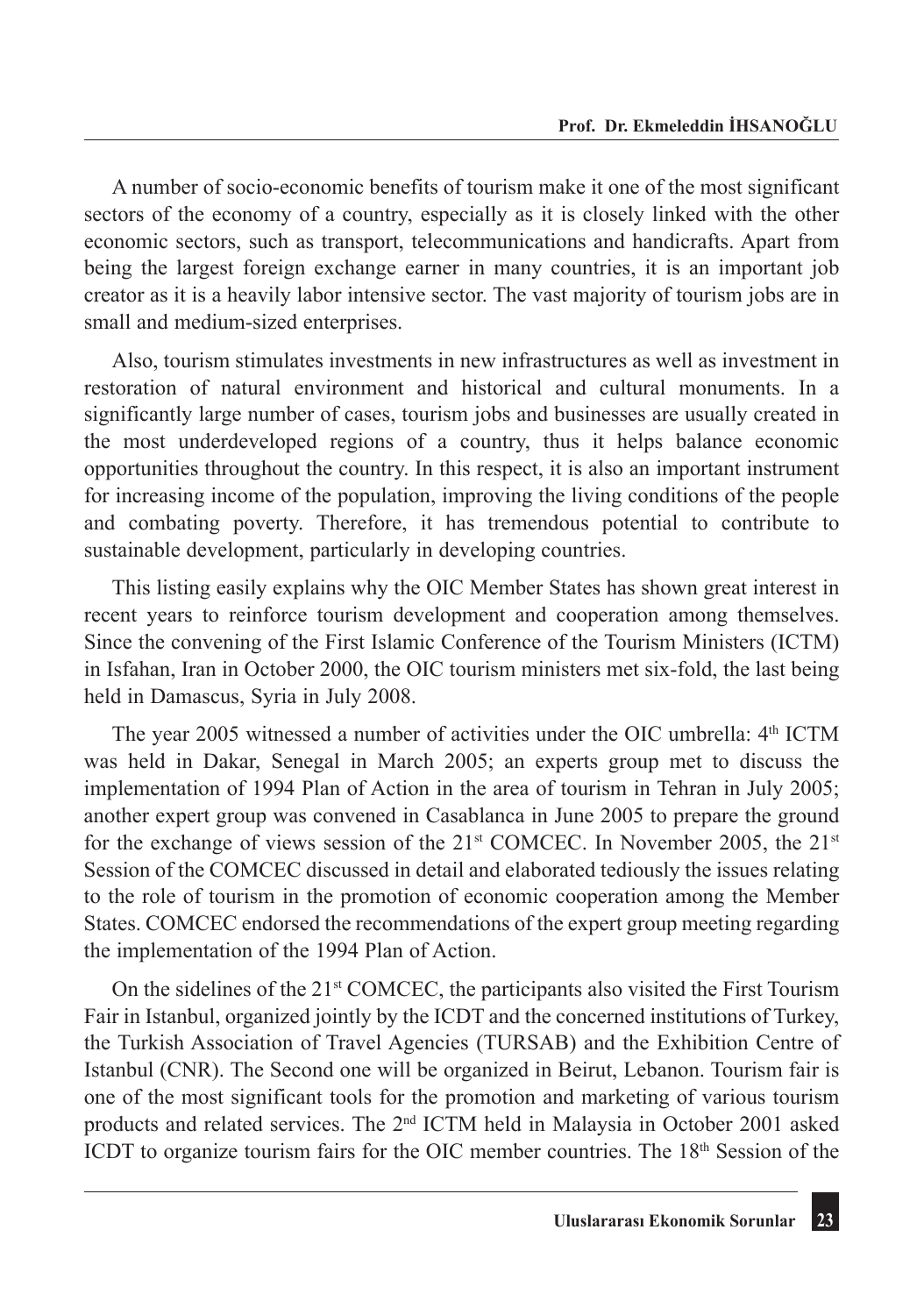A number of socio-economic benefits of tourism make it one of the most significant sectors of the economy of a country, especially as it is closely linked with the other economic sectors, such as transport, telecommunications and handicrafts. Apart from being the largest foreign exchange earner in many countries, it is an important job creator as it is a heavily labor intensive sector. The vast majority of tourism jobs are in small and medium-sized enterprises.

Also, tourism stimulates investments in new infrastructures as well as investment in restoration of natural environment and historical and cultural monuments. In a significantly large number of cases, tourism jobs and businesses are usually created in the most underdeveloped regions of a country, thus it helps balance economic opportunities throughout the country. In this respect, it is also an important instrument for increasing income of the population, improving the living conditions of the people and combating poverty. Therefore, it has tremendous potential to contribute to sustainable development, particularly in developing countries.

This listing easily explains why the OIC Member States has shown great interest in recent years to reinforce tourism development and cooperation among themselves. Since the convening of the First Islamic Conference of the Tourism Ministers (ICTM) in Isfahan, Iran in October 2000, the OIC tourism ministers met six-fold, the last being held in Damascus, Syria in July 2008.

The year 2005 witnessed a number of activities under the OIC umbrella: 4<sup>th</sup> ICTM was held in Dakar, Senegal in March 2005; an experts group met to discuss the implementation of 1994 Plan of Action in the area of tourism in Tehran in July 2005; another expert group was convened in Casablanca in June 2005 to prepare the ground for the exchange of views session of the 21<sup>st</sup> COMCEC. In November 2005, the 21<sup>st</sup> Session of the COMCEC discussed in detail and elaborated tediously the issues relating to the role of tourism in the promotion of economic cooperation among the Member States. COMCEC endorsed the recommendations of the expert group meeting regarding the implementation of the 1994 Plan of Action.

On the sidelines of the  $21<sup>st</sup>$  COMCEC, the participants also visited the First Tourism Fair in Istanbul, organized jointly by the ICDT and the concerned institutions of Turkey, the Turkish Association of Travel Agencies (TURSAB) and the Exhibition Centre of Istanbul (CNR). The Second one will be organized in Beirut, Lebanon. Tourism fair is one of the most significant tools for the promotion and marketing of various tourism products and related services. The 2nd ICTM held in Malaysia in October 2001 asked ICDT to organize tourism fairs for the OIC member countries. The 18<sup>th</sup> Session of the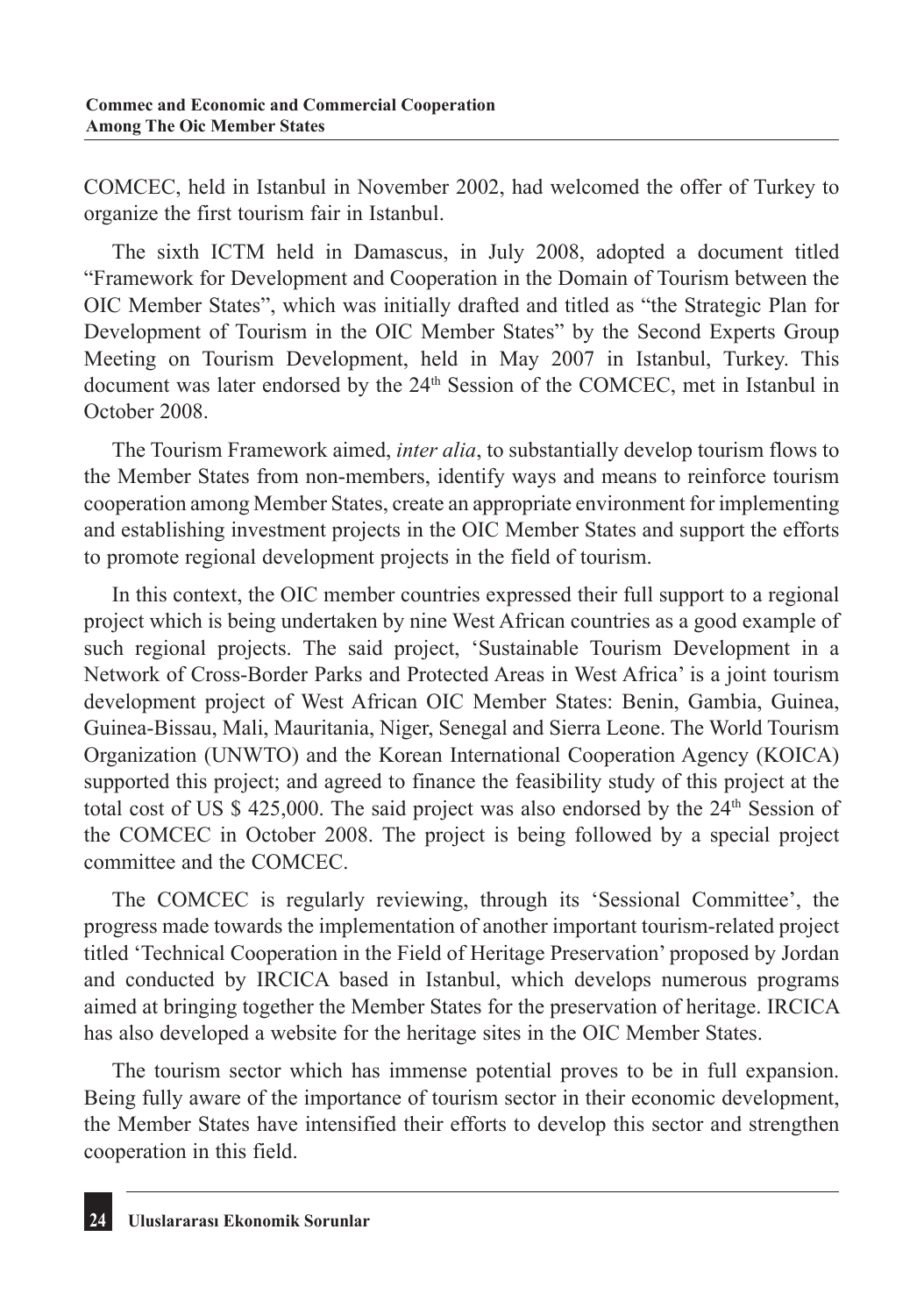COMCEC, held in Istanbul in November 2002, had welcomed the offer of Turkey to organize the first tourism fair in Istanbul.

The sixth ICTM held in Damascus, in July 2008, adopted a document titled "Framework for Development and Cooperation in the Domain of Tourism between the OIC Member States", which was initially drafted and titled as "the Strategic Plan for Development of Tourism in the OIC Member States" by the Second Experts Group Meeting on Tourism Development, held in May 2007 in Istanbul, Turkey. This document was later endorsed by the 24<sup>th</sup> Session of the COMCEC, met in Istanbul in October 2008.

The Tourism Framework aimed, *inter alia*, to substantially develop tourism flows to the Member States from non-members, identify ways and means to reinforce tourism cooperation among Member States, create an appropriate environment for implementing and establishing investment projects in the OIC Member States and support the efforts to promote regional development projects in the field of tourism.

In this context, the OIC member countries expressed their full support to a regional project which is being undertaken by nine West African countries as a good example of such regional projects. The said project, 'Sustainable Tourism Development in a Network of Cross-Border Parks and Protected Areas in West Africa' is a joint tourism development project of West African OIC Member States: Benin, Gambia, Guinea, Guinea-Bissau, Mali, Mauritania, Niger, Senegal and Sierra Leone. The World Tourism Organization (UNWTO) and the Korean International Cooperation Agency (KOICA) supported this project; and agreed to finance the feasibility study of this project at the total cost of US  $$ 425,000$ . The said project was also endorsed by the  $24<sup>th</sup>$  Session of the COMCEC in October 2008. The project is being followed by a special project committee and the COMCEC.

The COMCEC is regularly reviewing, through its 'Sessional Committee', the progress made towards the implementation of another important tourism-related project titled 'Technical Cooperation in the Field of Heritage Preservation' proposed by Jordan and conducted by IRCICA based in Istanbul, which develops numerous programs aimed at bringing together the Member States for the preservation of heritage. IRCICA has also developed a website for the heritage sites in the OIC Member States.

The tourism sector which has immense potential proves to be in full expansion. Being fully aware of the importance of tourism sector in their economic development, the Member States have intensified their efforts to develop this sector and strengthen cooperation in this field.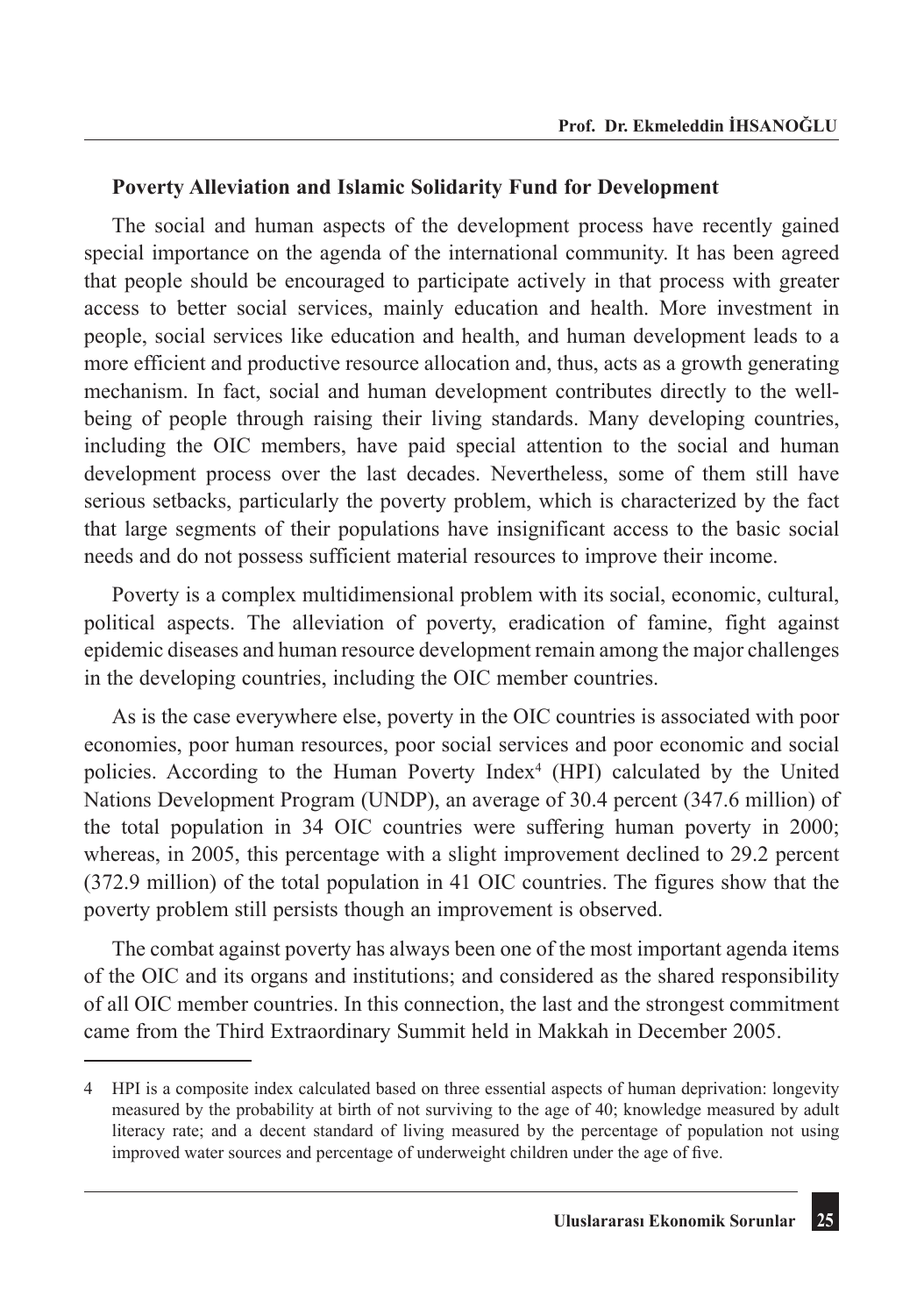#### **Poverty Alleviation and Islamic Solidarity Fund for Development**

The social and human aspects of the development process have recently gained special importance on the agenda of the international community. It has been agreed that people should be encouraged to participate actively in that process with greater access to better social services, mainly education and health. More investment in people, social services like education and health, and human development leads to a more efficient and productive resource allocation and, thus, acts as a growth generating mechanism. In fact, social and human development contributes directly to the wellbeing of people through raising their living standards. Many developing countries, including the OIC members, have paid special attention to the social and human development process over the last decades. Nevertheless, some of them still have serious setbacks, particularly the poverty problem, which is characterized by the fact that large segments of their populations have insignificant access to the basic social needs and do not possess sufficient material resources to improve their income.

Poverty is a complex multidimensional problem with its social, economic, cultural, political aspects. The alleviation of poverty, eradication of famine, fight against epidemic diseases and human resource development remain among the major challenges in the developing countries, including the OIC member countries.

As is the case everywhere else, poverty in the OIC countries is associated with poor economies, poor human resources, poor social services and poor economic and social policies. According to the Human Poverty Index<sup>4</sup> (HPI) calculated by the United Nations Development Program (UNDP), an average of 30.4 percent (347.6 million) of the total population in 34 OIC countries were suffering human poverty in 2000; whereas, in 2005, this percentage with a slight improvement declined to 29.2 percent (372.9 million) of the total population in 41 OIC countries. The figures show that the poverty problem still persists though an improvement is observed.

The combat against poverty has always been one of the most important agenda items of the OIC and its organs and institutions; and considered as the shared responsibility of all OIC member countries. In this connection, the last and the strongest commitment came from the Third Extraordinary Summit held in Makkah in December 2005.

<sup>4</sup> HPI is a composite index calculated based on three essential aspects of human deprivation: longevity measured by the probability at birth of not surviving to the age of 40; knowledge measured by adult literacy rate; and a decent standard of living measured by the percentage of population not using improved water sources and percentage of underweight children under the age of five.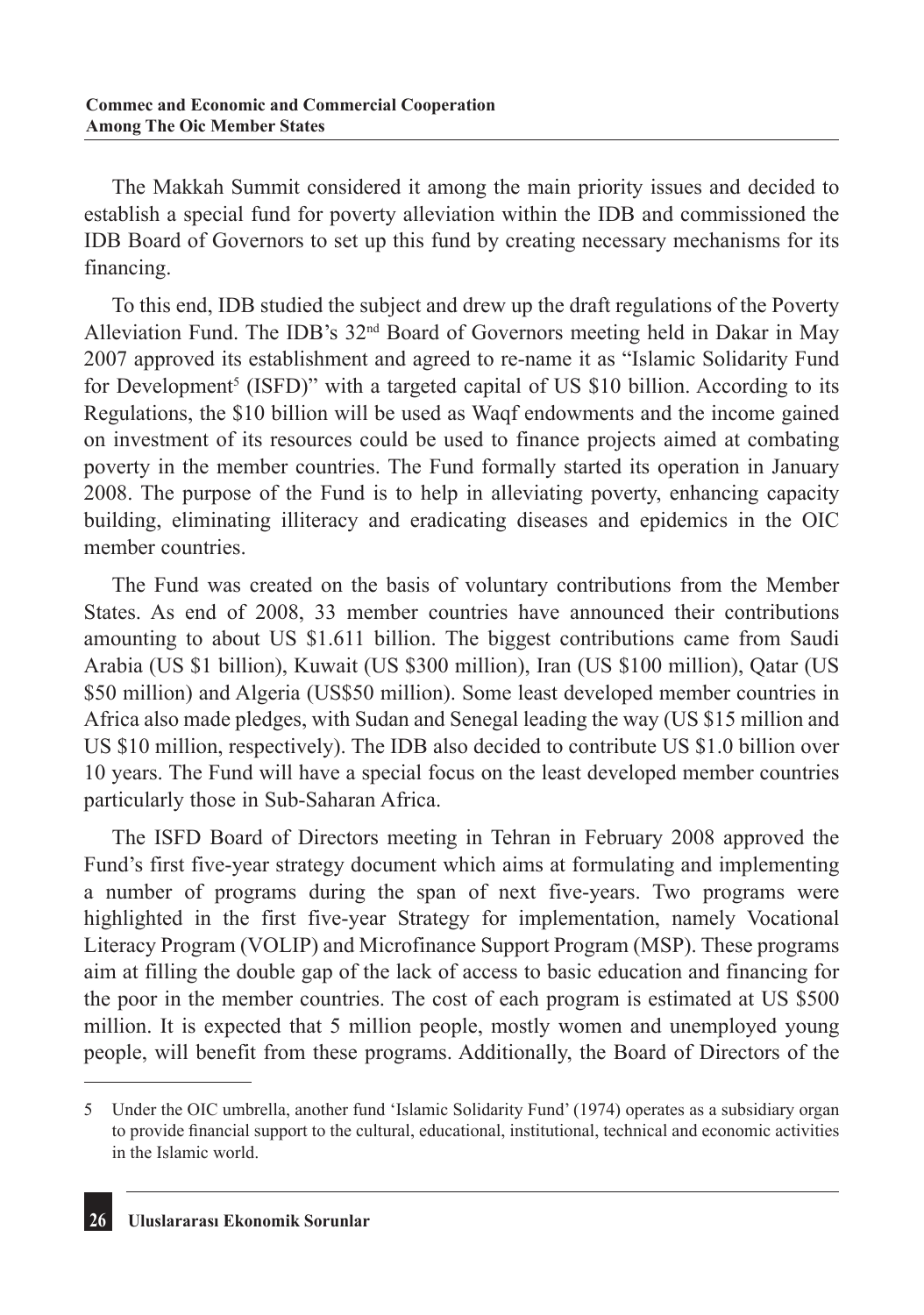The Makkah Summit considered it among the main priority issues and decided to establish a special fund for poverty alleviation within the IDB and commissioned the IDB Board of Governors to set up this fund by creating necessary mechanisms for its financing.

To this end, IDB studied the subject and drew up the draft regulations of the Poverty Alleviation Fund. The IDB's 32nd Board of Governors meeting held in Dakar in May 2007 approved its establishment and agreed to re-name it as "Islamic Solidarity Fund for Development<sup>5</sup> (ISFD)" with a targeted capital of US \$10 billion. According to its Regulations, the \$10 billion will be used as Waqf endowments and the income gained on investment of its resources could be used to finance projects aimed at combating poverty in the member countries. The Fund formally started its operation in January 2008. The purpose of the Fund is to help in alleviating poverty, enhancing capacity building, eliminating illiteracy and eradicating diseases and epidemics in the OIC member countries.

The Fund was created on the basis of voluntary contributions from the Member States. As end of 2008, 33 member countries have announced their contributions amounting to about US \$1.611 billion. The biggest contributions came from Saudi Arabia (US \$1 billion), Kuwait (US \$300 million), Iran (US \$100 million), Qatar (US \$50 million) and Algeria (US\$50 million). Some least developed member countries in Africa also made pledges, with Sudan and Senegal leading the way (US \$15 million and US \$10 million, respectively). The IDB also decided to contribute US \$1.0 billion over 10 years. The Fund will have a special focus on the least developed member countries particularly those in Sub-Saharan Africa.

The ISFD Board of Directors meeting in Tehran in February 2008 approved the Fund's first five-year strategy document which aims at formulating and implementing a number of programs during the span of next five-years. Two programs were highlighted in the first five-year Strategy for implementation, namely Vocational Literacy Program (VOLIP) and Microfinance Support Program (MSP). These programs aim at filling the double gap of the lack of access to basic education and financing for the poor in the member countries. The cost of each program is estimated at US \$500 million. It is expected that 5 million people, mostly women and unemployed young people, will benefit from these programs. Additionally, the Board of Directors of the

<sup>5</sup> Under the OIC umbrella, another fund 'Islamic Solidarity Fund' (1974) operates as a subsidiary organ to provide financial support to the cultural, educational, institutional, technical and economic activities in the Islamic world.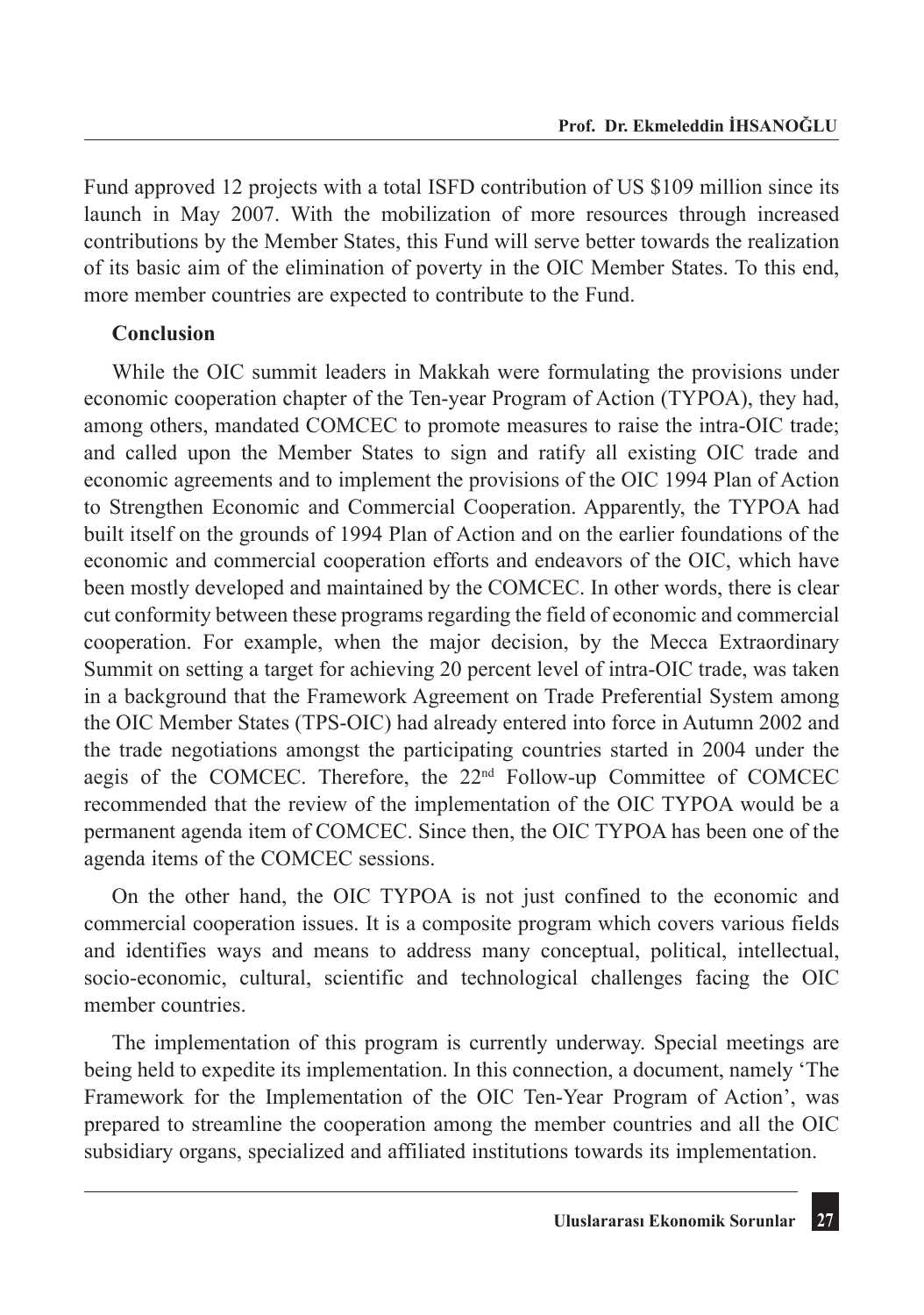Fund approved 12 projects with a total ISFD contribution of US \$109 million since its launch in May 2007. With the mobilization of more resources through increased contributions by the Member States, this Fund will serve better towards the realization of its basic aim of the elimination of poverty in the OIC Member States. To this end, more member countries are expected to contribute to the Fund.

## **Conclusion**

While the OIC summit leaders in Makkah were formulating the provisions under economic cooperation chapter of the Ten-year Program of Action (TYPOA), they had, among others, mandated COMCEC to promote measures to raise the intra-OIC trade; and called upon the Member States to sign and ratify all existing OIC trade and economic agreements and to implement the provisions of the OIC 1994 Plan of Action to Strengthen Economic and Commercial Cooperation. Apparently, the TYPOA had built itself on the grounds of 1994 Plan of Action and on the earlier foundations of the economic and commercial cooperation efforts and endeavors of the OIC, which have been mostly developed and maintained by the COMCEC. In other words, there is clear cut conformity between these programs regarding the field of economic and commercial cooperation. For example, when the major decision, by the Mecca Extraordinary Summit on setting a target for achieving 20 percent level of intra-OIC trade, was taken in a background that the Framework Agreement on Trade Preferential System among the OIC Member States (TPS-OIC) had already entered into force in Autumn 2002 and the trade negotiations amongst the participating countries started in 2004 under the aegis of the COMCEC. Therefore, the  $22<sup>nd</sup>$  Follow-up Committee of COMCEC recommended that the review of the implementation of the OIC TYPOA would be a permanent agenda item of COMCEC. Since then, the OIC TYPOA has been one of the agenda items of the COMCEC sessions.

On the other hand, the OIC TYPOA is not just confined to the economic and commercial cooperation issues. It is a composite program which covers various fields and identifies ways and means to address many conceptual, political, intellectual, socio-economic, cultural, scientific and technological challenges facing the OIC member countries.

The implementation of this program is currently underway. Special meetings are being held to expedite its implementation. In this connection, a document, namely 'The Framework for the Implementation of the OIC Ten-Year Program of Action', was prepared to streamline the cooperation among the member countries and all the OIC subsidiary organs, specialized and affiliated institutions towards its implementation.